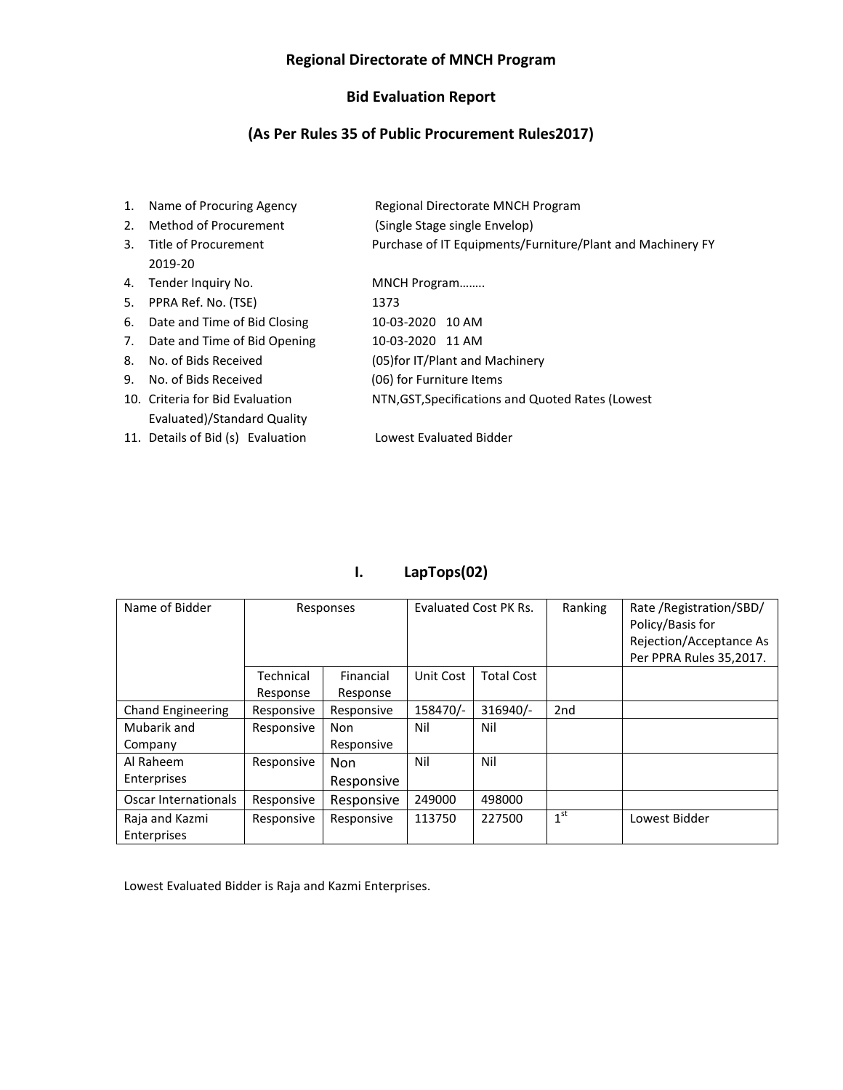#### **Regional Directorate of MNCH Program**

#### **Bid Evaluation Report**

#### **(As Per Rules 35 of Public Procurement Rules2017)**

1. Name of Procuring Agency Regional Directorate MNCH Program 2. Method of Procurement (Single Stage single Envelop) 3. Title of Procurement Purchase of IT Equipments/Furniture/Plant and Machinery FY 2019-20 4. Tender Inquiry No. MNCH Program........ 5. PPRA Ref. No. (TSE) 1373 6. Date and Time of Bid Closing 10-03-2020 10 AM 7. Date and Time of Bid Opening 10-03-2020 11 AM 8. No. of Bids Received (05)for IT/Plant and Machinery 9. No. of Bids Received (06) for Furniture Items 10. Criteria for Bid Evaluation NTN,GST,Specifications and Quoted Rates (Lowest Evaluated)/Standard Quality 11. Details of Bid (s) Evaluation Lowest Evaluated Bidder

### **I. LapTops(02)**

| Name of Bidder                |                       | Responses             |           | Evaluated Cost PK Rs. |                 | Rate / Registration/SBD/<br>Policy/Basis for<br>Rejection/Acceptance As<br>Per PPRA Rules 35,2017. |
|-------------------------------|-----------------------|-----------------------|-----------|-----------------------|-----------------|----------------------------------------------------------------------------------------------------|
|                               | Technical<br>Response | Financial<br>Response | Unit Cost | <b>Total Cost</b>     |                 |                                                                                                    |
| <b>Chand Engineering</b>      | Responsive            | Responsive            | 158470/-  | 316940/-              | 2 <sub>nd</sub> |                                                                                                    |
| Mubarik and                   | Responsive            | <b>Non</b>            | Nil       | Nil                   |                 |                                                                                                    |
| Company                       |                       | Responsive            |           |                       |                 |                                                                                                    |
| Al Raheem                     | Responsive            | <b>Non</b>            | Nil       | Nil                   |                 |                                                                                                    |
| Enterprises                   |                       | Responsive            |           |                       |                 |                                                                                                    |
| Oscar Internationals          | Responsive            | Responsive            | 249000    | 498000                |                 |                                                                                                    |
| Raja and Kazmi<br>Enterprises | Responsive            | Responsive            | 113750    | 227500                | 1 <sup>st</sup> | Lowest Bidder                                                                                      |

Lowest Evaluated Bidder is Raja and Kazmi Enterprises.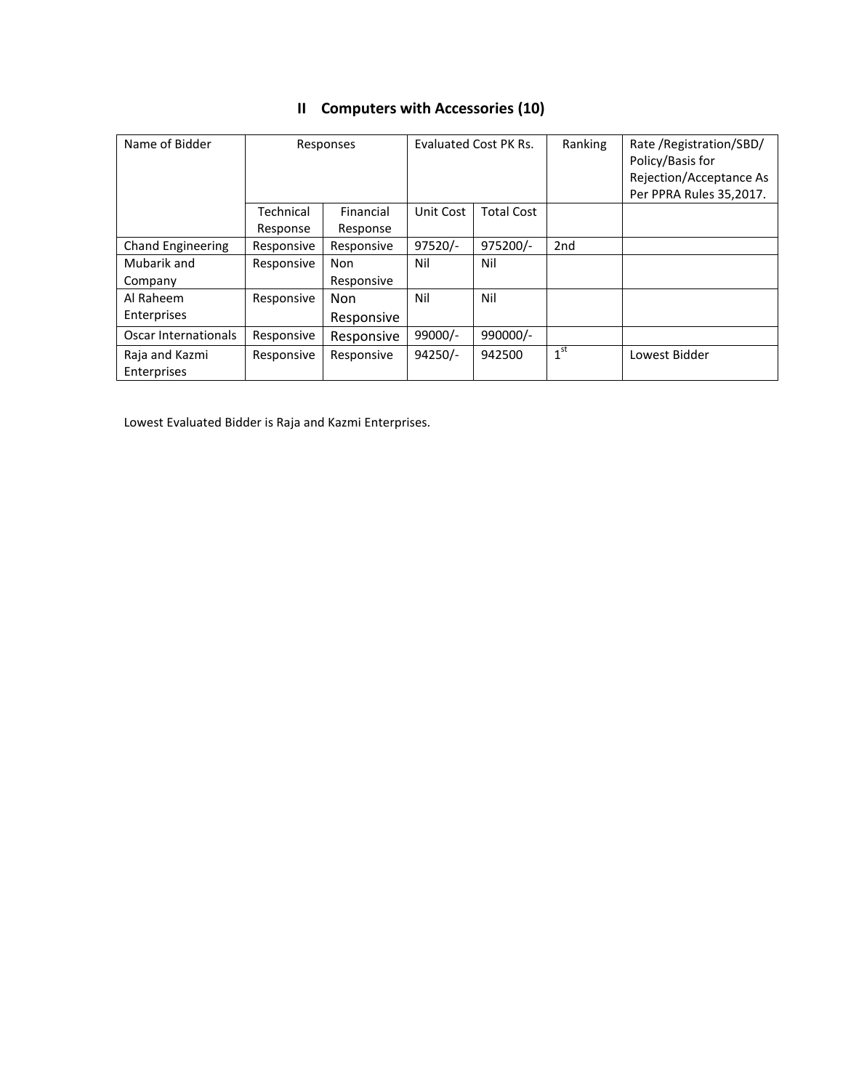|                          |            |            |           | Evaluated Cost PK Rs. |                 |                          |
|--------------------------|------------|------------|-----------|-----------------------|-----------------|--------------------------|
| Name of Bidder           |            | Responses  |           |                       | Ranking         | Rate / Registration/SBD/ |
|                          |            |            |           |                       |                 | Policy/Basis for         |
|                          |            |            |           |                       |                 | Rejection/Acceptance As  |
|                          |            |            |           |                       |                 | Per PPRA Rules 35,2017.  |
|                          | Technical  | Financial  | Unit Cost | <b>Total Cost</b>     |                 |                          |
|                          | Response   | Response   |           |                       |                 |                          |
| <b>Chand Engineering</b> | Responsive | Responsive | $97520/-$ | 975200/-              | 2 <sub>nd</sub> |                          |
| Mubarik and              | Responsive | Non        | Nil       | Nil                   |                 |                          |
| Company                  |            | Responsive |           |                       |                 |                          |
| Al Raheem                | Responsive | <b>Non</b> | Nil       | Nil                   |                 |                          |
| Enterprises              |            | Responsive |           |                       |                 |                          |
| Oscar Internationals     | Responsive | Responsive | 99000/-   | 990000/-              |                 |                          |
| Raja and Kazmi           | Responsive | Responsive | $94250/-$ | 942500                | 1 <sup>st</sup> | Lowest Bidder            |
| Enterprises              |            |            |           |                       |                 |                          |

# **II Computers with Accessories (10)**

Lowest Evaluated Bidder is Raja and Kazmi Enterprises.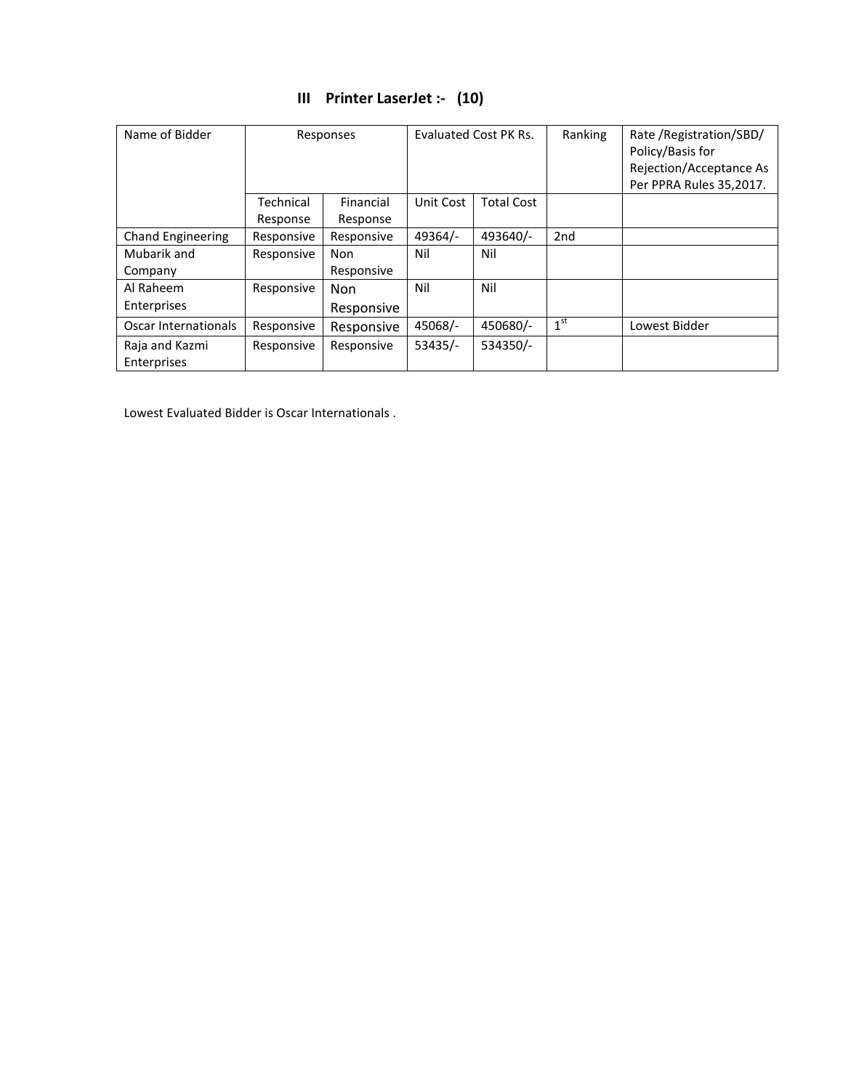| Name of Bidder                |                       | Evaluated Cost PK Rs.<br>Responses |           | Ranking           | Rate / Registration/SBD/<br>Policy/Basis for<br>Rejection/Acceptance As<br>Per PPRA Rules 35,2017. |               |
|-------------------------------|-----------------------|------------------------------------|-----------|-------------------|----------------------------------------------------------------------------------------------------|---------------|
|                               | Technical<br>Response | Financial<br>Response              | Unit Cost | <b>Total Cost</b> |                                                                                                    |               |
| <b>Chand Engineering</b>      | Responsive            | Responsive                         | 49364/-   | 493640/-          | 2 <sub>nd</sub>                                                                                    |               |
| Mubarik and<br>Company        | Responsive            | Non<br>Responsive                  | Nil       | Nil               |                                                                                                    |               |
| Al Raheem<br>Enterprises      | Responsive            | <b>Non</b><br>Responsive           | Nil       | Nil               |                                                                                                    |               |
| Oscar Internationals          | Responsive            | Responsive                         | 45068/-   | 450680/-          | 1 <sup>st</sup>                                                                                    | Lowest Bidder |
| Raja and Kazmi<br>Enterprises | Responsive            | Responsive                         | $53435/-$ | 534350/-          |                                                                                                    |               |

## **III Printer LaserJet :- (10)**

Lowest Evaluated Bidder is Oscar Internationals .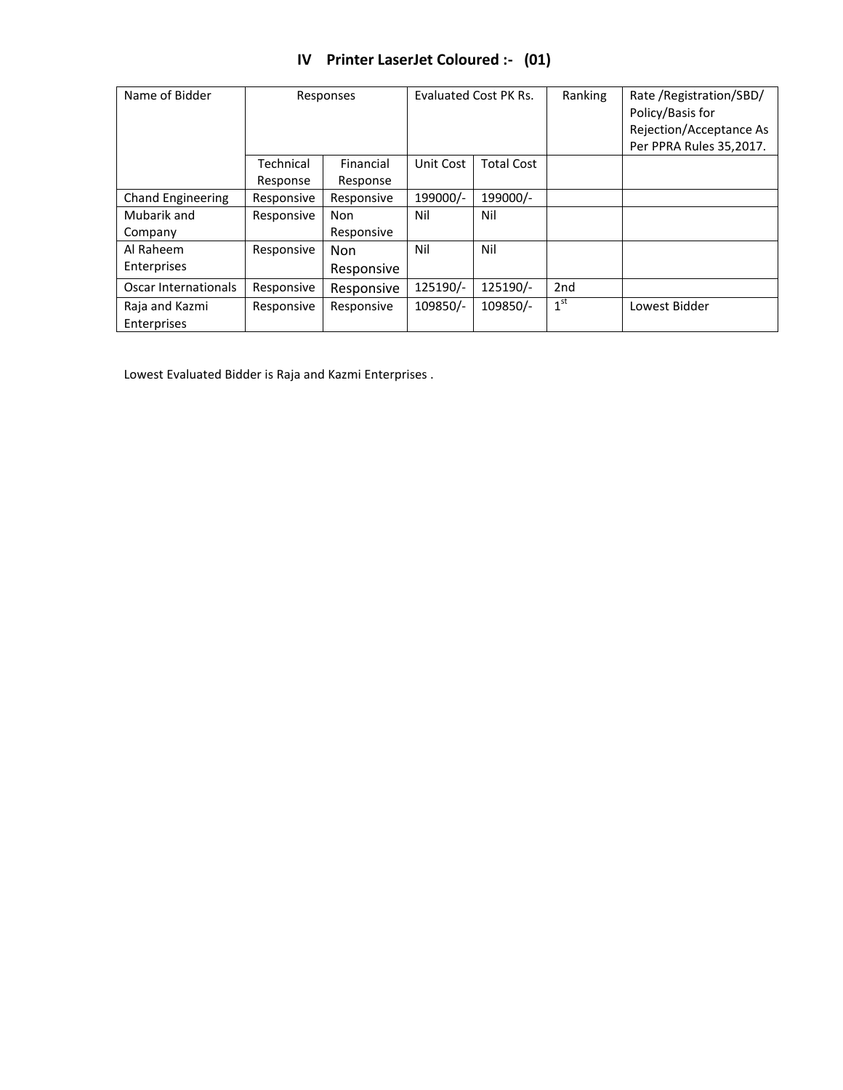|  |  |  | IV Printer LaserJet Coloured :- (01) |  |
|--|--|--|--------------------------------------|--|
|--|--|--|--------------------------------------|--|

| Name of Bidder           |            | Evaluated Cost PK Rs.<br>Responses |           | Ranking           | Rate / Registration/SBD/<br>Policy/Basis for<br>Rejection/Acceptance As<br>Per PPRA Rules 35,2017. |               |
|--------------------------|------------|------------------------------------|-----------|-------------------|----------------------------------------------------------------------------------------------------|---------------|
|                          | Technical  | Financial                          | Unit Cost | <b>Total Cost</b> |                                                                                                    |               |
|                          | Response   | Response                           |           |                   |                                                                                                    |               |
| <b>Chand Engineering</b> | Responsive | Responsive                         | 199000/-  | 199000/-          |                                                                                                    |               |
| Mubarik and              | Responsive | <b>Non</b>                         | Nil       | Nil               |                                                                                                    |               |
| Company                  |            | Responsive                         |           |                   |                                                                                                    |               |
| Al Raheem                | Responsive | <b>Non</b>                         | Nil       | Nil               |                                                                                                    |               |
| Enterprises              |            | Responsive                         |           |                   |                                                                                                    |               |
| Oscar Internationals     | Responsive | Responsive                         | 125190/-  | 125190/-          | 2 <sub>nd</sub>                                                                                    |               |
| Raja and Kazmi           | Responsive | Responsive                         | 109850/-  | 109850/-          | 1 <sup>st</sup>                                                                                    | Lowest Bidder |
| Enterprises              |            |                                    |           |                   |                                                                                                    |               |

Lowest Evaluated Bidder is Raja and Kazmi Enterprises .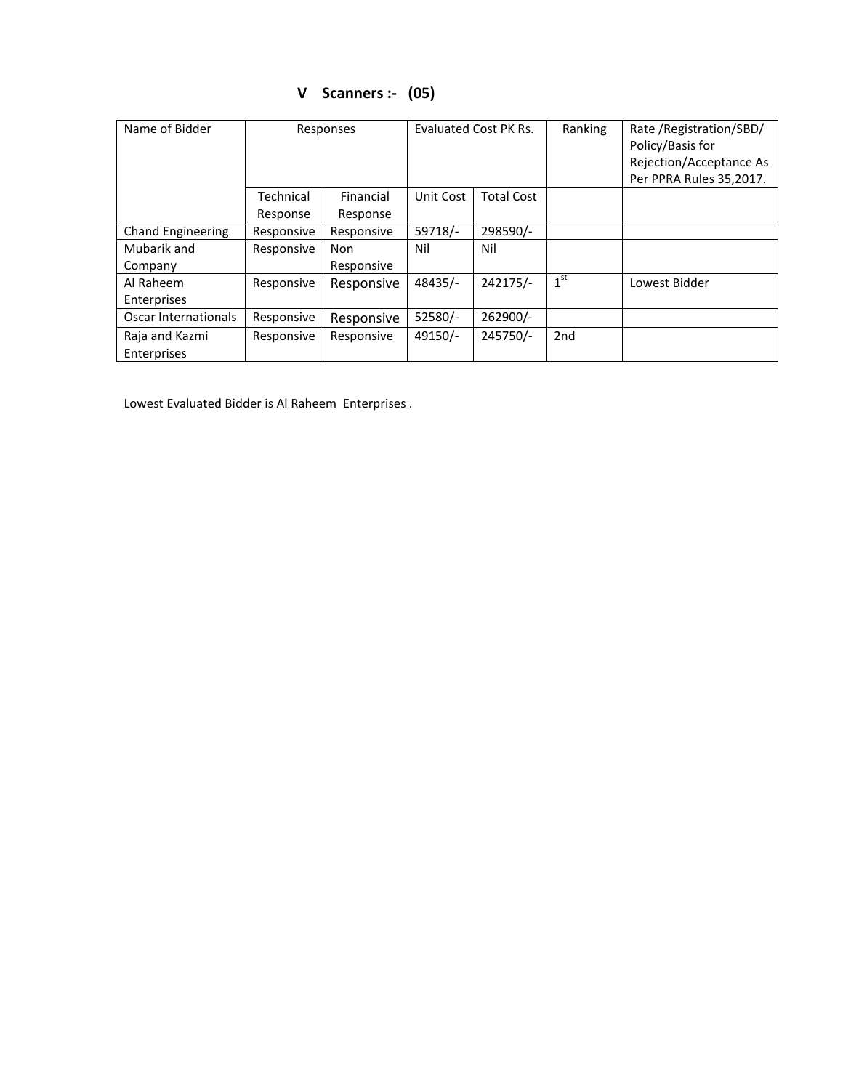| Name of Bidder                | Evaluated Cost PK Rs.<br>Responses |                       |           | Ranking           | Rate / Registration/SBD/<br>Policy/Basis for<br>Rejection/Acceptance As<br>Per PPRA Rules 35,2017. |               |
|-------------------------------|------------------------------------|-----------------------|-----------|-------------------|----------------------------------------------------------------------------------------------------|---------------|
|                               | Technical<br>Response              | Financial<br>Response | Unit Cost | <b>Total Cost</b> |                                                                                                    |               |
| <b>Chand Engineering</b>      | Responsive                         | Responsive            | 59718/-   | 298590/-          |                                                                                                    |               |
| Mubarik and<br>Company        | Responsive                         | Non<br>Responsive     | Nil       | Nil               |                                                                                                    |               |
| Al Raheem<br>Enterprises      | Responsive                         | Responsive            | 48435/-   | 242175/-          | 1 <sup>st</sup>                                                                                    | Lowest Bidder |
| Oscar Internationals          | Responsive                         | Responsive            | 52580/-   | 262900/-          |                                                                                                    |               |
| Raja and Kazmi<br>Enterprises | Responsive                         | Responsive            | 49150/-   | 245750/-          | 2 <sub>nd</sub>                                                                                    |               |

# **V Scanners :- (05)**

Lowest Evaluated Bidder is Al Raheem Enterprises .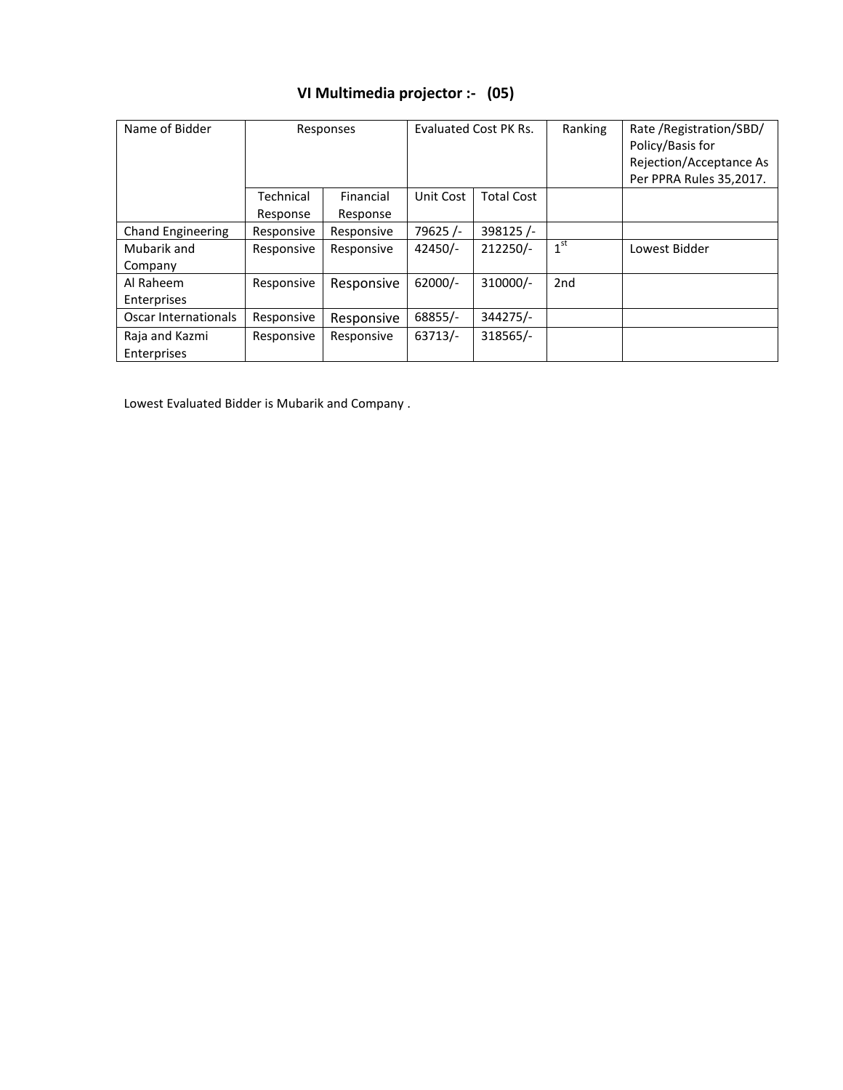| VI Multimedia projector :- (05) |  |
|---------------------------------|--|
|                                 |  |

| Name of Bidder           | Responses  |            | Evaluated Cost PK Rs. |                   | Ranking         | Rate / Registration/SBD/<br>Policy/Basis for<br>Rejection/Acceptance As<br>Per PPRA Rules 35,2017. |
|--------------------------|------------|------------|-----------------------|-------------------|-----------------|----------------------------------------------------------------------------------------------------|
|                          | Technical  | Financial  | Unit Cost             | <b>Total Cost</b> |                 |                                                                                                    |
|                          | Response   | Response   |                       |                   |                 |                                                                                                    |
| <b>Chand Engineering</b> | Responsive | Responsive | 79625/-               | 398125/-          |                 |                                                                                                    |
| Mubarik and              | Responsive | Responsive | $42450/-$             | 212250/-          | 1 <sup>st</sup> | Lowest Bidder                                                                                      |
| Company                  |            |            |                       |                   |                 |                                                                                                    |
| Al Raheem                | Responsive | Responsive | $62000/-$             | 310000/-          | 2 <sub>nd</sub> |                                                                                                    |
| Enterprises              |            |            |                       |                   |                 |                                                                                                    |
| Oscar Internationals     | Responsive | Responsive | 68855/-               | 344275/-          |                 |                                                                                                    |
| Raja and Kazmi           | Responsive | Responsive | $63713/-$             | 318565/-          |                 |                                                                                                    |
| Enterprises              |            |            |                       |                   |                 |                                                                                                    |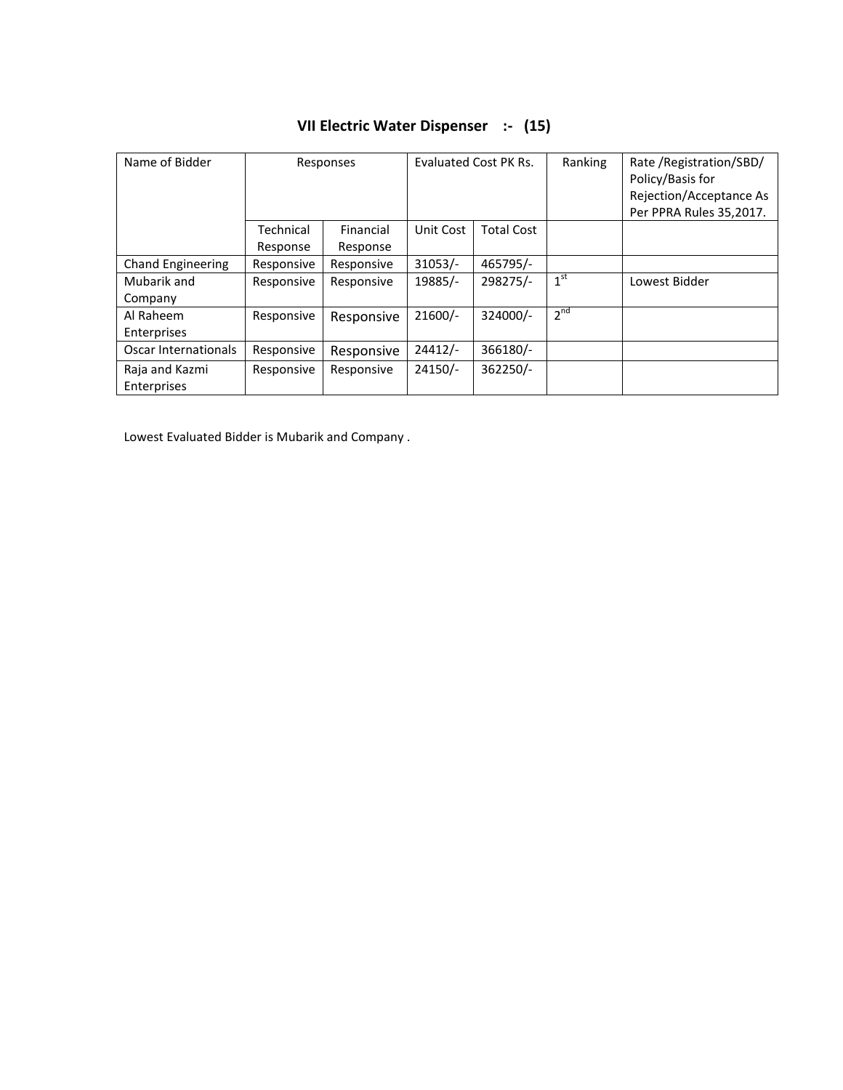| Name of Bidder           |            | Evaluated Cost PK Rs.<br>Responses |           | Ranking           | Rate / Registration/SBD/<br>Policy/Basis for<br>Rejection/Acceptance As<br>Per PPRA Rules 35,2017. |               |
|--------------------------|------------|------------------------------------|-----------|-------------------|----------------------------------------------------------------------------------------------------|---------------|
|                          | Technical  | Financial                          | Unit Cost | <b>Total Cost</b> |                                                                                                    |               |
|                          | Response   | Response                           |           |                   |                                                                                                    |               |
| <b>Chand Engineering</b> | Responsive | Responsive                         | $31053/-$ | 465795/-          |                                                                                                    |               |
| Mubarik and              | Responsive | Responsive                         | 19885/-   | 298275/-          | 1 <sup>st</sup>                                                                                    | Lowest Bidder |
| Company                  |            |                                    |           |                   |                                                                                                    |               |
| Al Raheem                | Responsive | Responsive                         | $21600/-$ | 324000/-          | $2^{nd}$                                                                                           |               |
| Enterprises              |            |                                    |           |                   |                                                                                                    |               |
| Oscar Internationals     | Responsive | Responsive                         | $24412/-$ | 366180/-          |                                                                                                    |               |
| Raja and Kazmi           | Responsive | Responsive                         | $24150/-$ | 362250/-          |                                                                                                    |               |
| Enterprises              |            |                                    |           |                   |                                                                                                    |               |

# **VII Electric Water Dispenser :- (15)**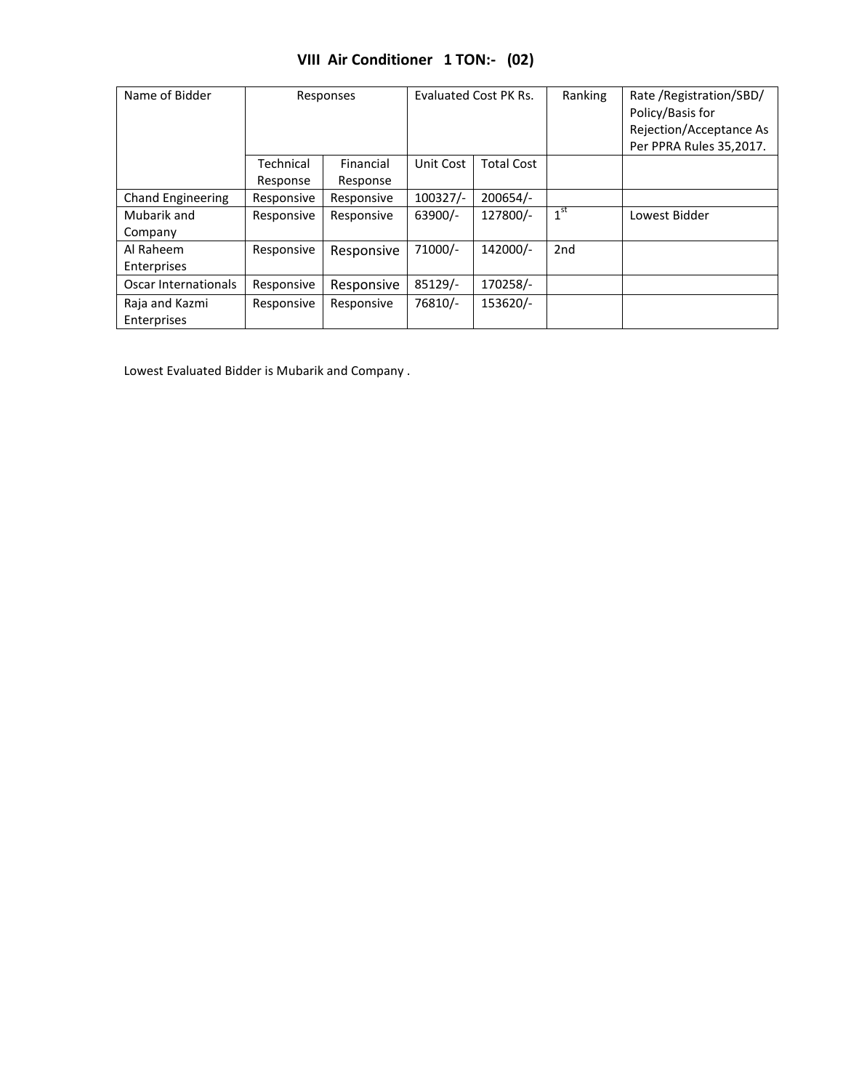|  | VIII Air Conditioner 1 TON:- (02) |  |  |
|--|-----------------------------------|--|--|
|--|-----------------------------------|--|--|

| Name of Bidder                |                       | Responses             | Evaluated Cost PK Rs. |                   | Ranking         | Rate / Registration / SBD /<br>Policy/Basis for<br>Rejection/Acceptance As<br>Per PPRA Rules 35,2017. |
|-------------------------------|-----------------------|-----------------------|-----------------------|-------------------|-----------------|-------------------------------------------------------------------------------------------------------|
|                               | Technical<br>Response | Financial<br>Response | Unit Cost             | <b>Total Cost</b> |                 |                                                                                                       |
| Chand Engineering             | Responsive            | Responsive            | $100327/-$            | $200654/-$        |                 |                                                                                                       |
| Mubarik and<br>Company        | Responsive            | Responsive            | 63900/-               | 127800/-          | 1 <sup>st</sup> | Lowest Bidder                                                                                         |
| Al Raheem<br>Enterprises      | Responsive            | Responsive            | 71000/-               | 142000/-          | 2 <sub>nd</sub> |                                                                                                       |
| Oscar Internationals          | Responsive            | Responsive            | 85129/-               | 170258/-          |                 |                                                                                                       |
| Raja and Kazmi<br>Enterprises | Responsive            | Responsive            | 76810/-               | 153620/-          |                 |                                                                                                       |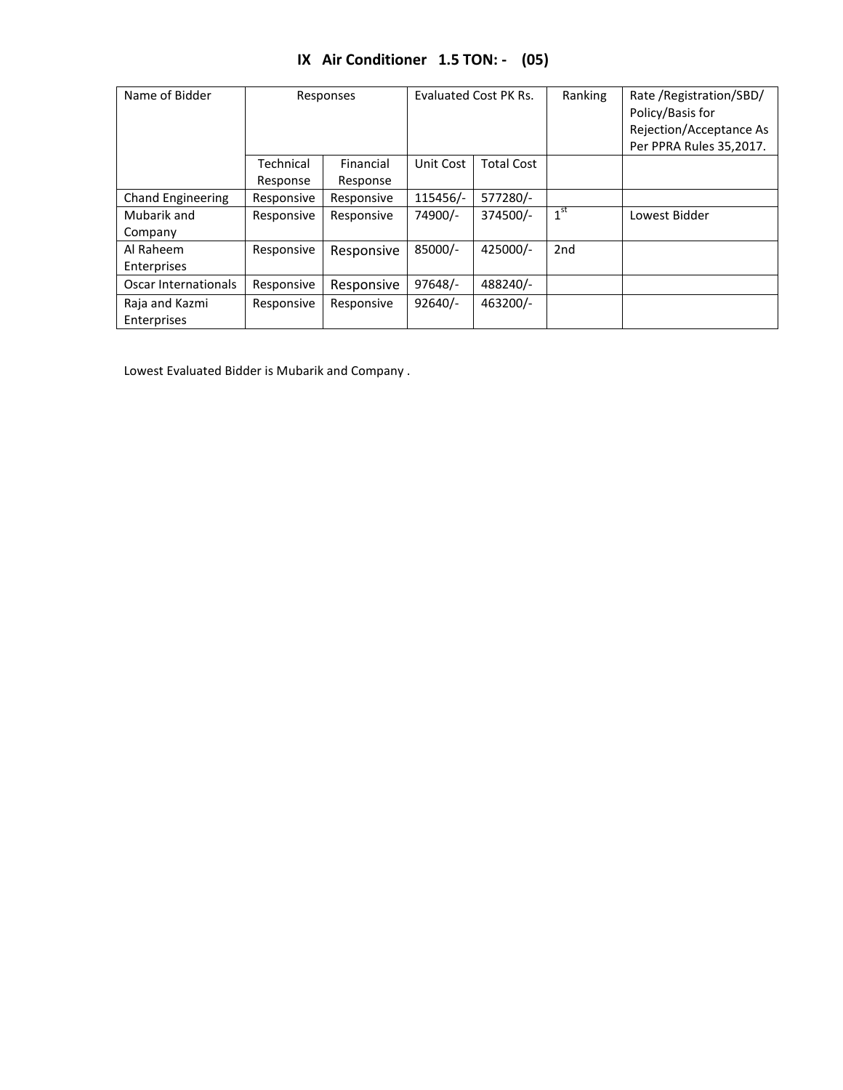|  | IX Air Conditioner 1.5 TON: - (05) |  |  |
|--|------------------------------------|--|--|
|--|------------------------------------|--|--|

| Name of Bidder           | Responses             |                       | Evaluated Cost PK Rs. |                   | Ranking         | Rate / Registration/SBD/<br>Policy/Basis for<br>Rejection/Acceptance As<br>Per PPRA Rules 35,2017. |
|--------------------------|-----------------------|-----------------------|-----------------------|-------------------|-----------------|----------------------------------------------------------------------------------------------------|
|                          | Technical<br>Response | Financial<br>Response | Unit Cost             | <b>Total Cost</b> |                 |                                                                                                    |
|                          |                       |                       |                       |                   |                 |                                                                                                    |
| <b>Chand Engineering</b> | Responsive            | Responsive            | 115456/-              | 577280/-          |                 |                                                                                                    |
| Mubarik and              | Responsive            | Responsive            | 74900/-               | 374500/-          | 1 <sup>st</sup> | Lowest Bidder                                                                                      |
| Company                  |                       |                       |                       |                   |                 |                                                                                                    |
| Al Raheem                | Responsive            | Responsive            | 85000/-               | 425000/-          | 2 <sub>nd</sub> |                                                                                                    |
| Enterprises              |                       |                       |                       |                   |                 |                                                                                                    |
| Oscar Internationals     | Responsive            | Responsive            | 97648/-               | 488240/-          |                 |                                                                                                    |
| Raja and Kazmi           | Responsive            | Responsive            | $92640/-$             | 463200/-          |                 |                                                                                                    |
| Enterprises              |                       |                       |                       |                   |                 |                                                                                                    |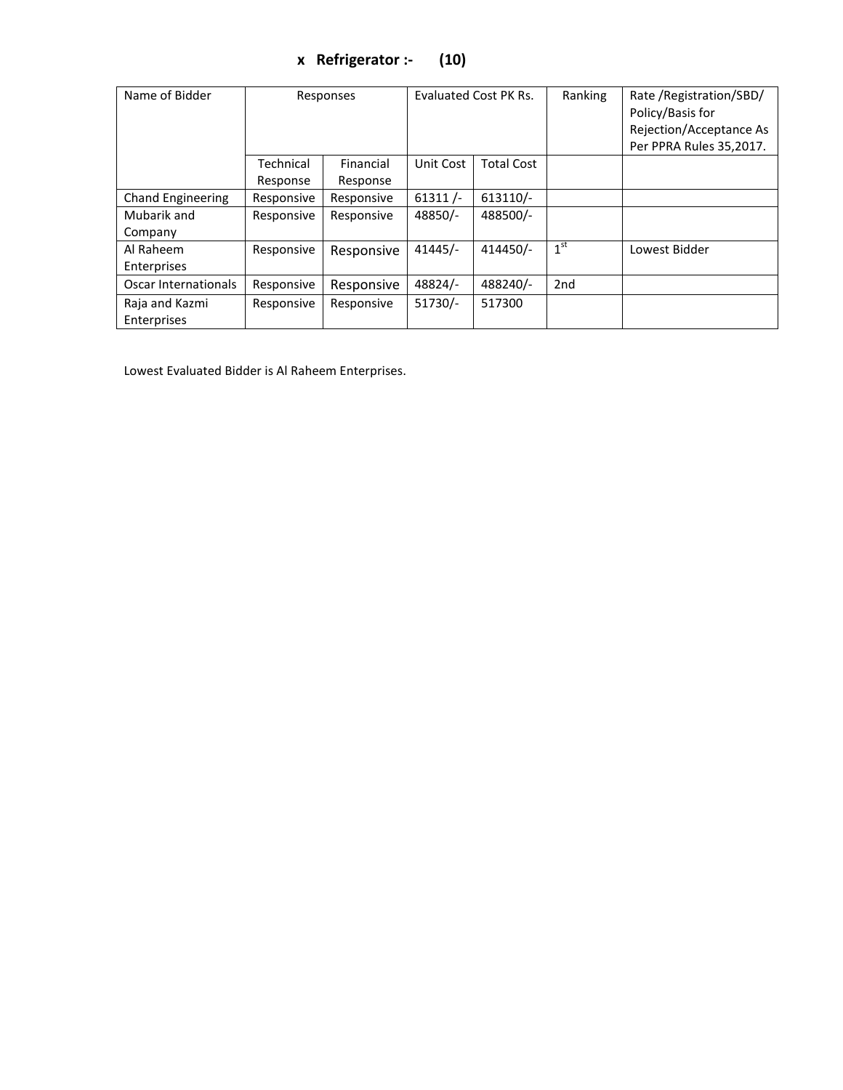# **x Refrigerator :- (10)**

| Name of Bidder           | Responses  |            | Evaluated Cost PK Rs. |                   | Ranking         | Rate / Registration/SBD/<br>Policy/Basis for<br>Rejection/Acceptance As<br>Per PPRA Rules 35,2017. |
|--------------------------|------------|------------|-----------------------|-------------------|-----------------|----------------------------------------------------------------------------------------------------|
|                          | Technical  | Financial  | Unit Cost             | <b>Total Cost</b> |                 |                                                                                                    |
|                          | Response   | Response   |                       |                   |                 |                                                                                                    |
| <b>Chand Engineering</b> | Responsive | Responsive | $61311/-$             | $613110/-$        |                 |                                                                                                    |
| Mubarik and              | Responsive | Responsive | 48850/-               | 488500/-          |                 |                                                                                                    |
| Company                  |            |            |                       |                   |                 |                                                                                                    |
| Al Raheem                | Responsive | Responsive | $41445/-$             | 414450/-          | 1 <sup>st</sup> | Lowest Bidder                                                                                      |
| Enterprises              |            |            |                       |                   |                 |                                                                                                    |
| Oscar Internationals     | Responsive | Responsive | 48824/-               | 488240/-          | 2 <sub>nd</sub> |                                                                                                    |
| Raja and Kazmi           | Responsive | Responsive | $51730/-$             | 517300            |                 |                                                                                                    |
| Enterprises              |            |            |                       |                   |                 |                                                                                                    |

Lowest Evaluated Bidder is Al Raheem Enterprises.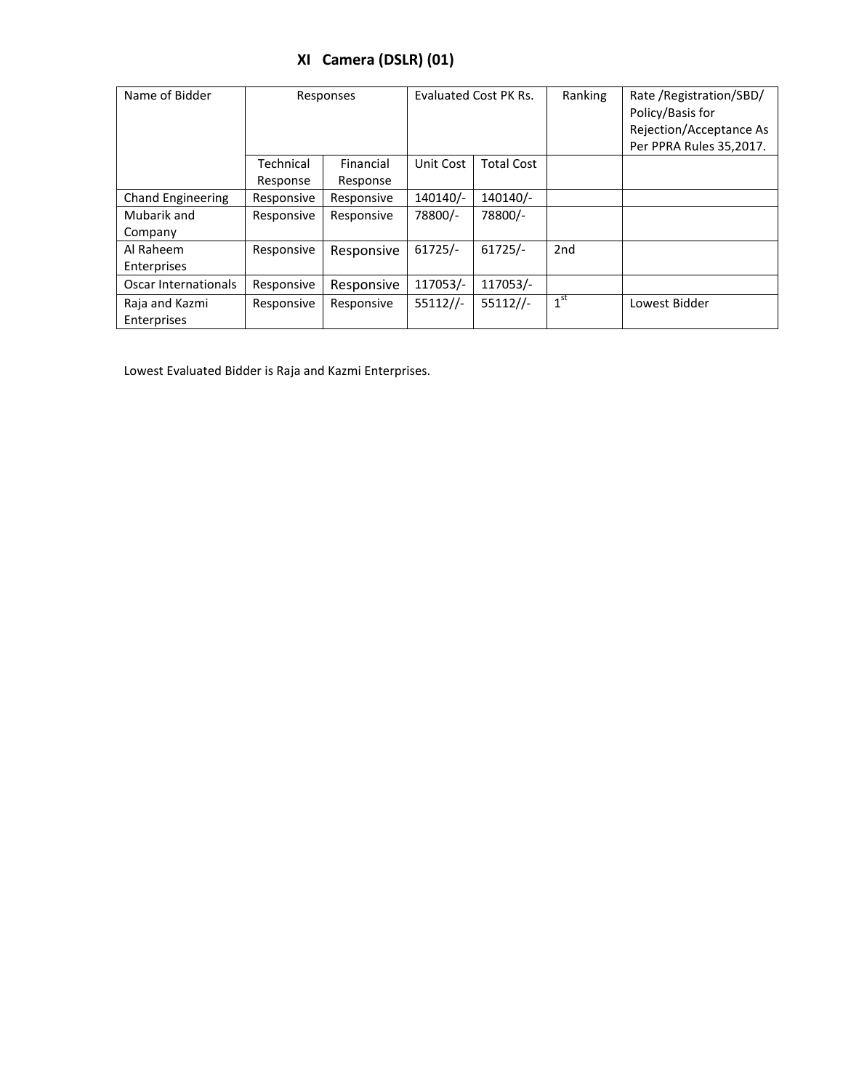# **XI Camera (DSLR) (01)**

| Name of Bidder                       |                       | Responses             | Evaluated Cost PK Rs. |                   | Ranking         | Rate / Registration / SBD /<br>Policy/Basis for<br>Rejection/Acceptance As<br>Per PPRA Rules 35,2017. |
|--------------------------------------|-----------------------|-----------------------|-----------------------|-------------------|-----------------|-------------------------------------------------------------------------------------------------------|
|                                      | Technical<br>Response | Financial<br>Response | Unit Cost             | <b>Total Cost</b> |                 |                                                                                                       |
| <b>Chand Engineering</b>             | Responsive            | Responsive            | 140140/-              | 140140/-          |                 |                                                                                                       |
| Mubarik and<br>Company               | Responsive            | Responsive            | 78800/-               | 78800/-           |                 |                                                                                                       |
| Al Raheem<br>Enterprises             | Responsive            | Responsive            | $61725/-$             | $61725/-$         | 2 <sub>nd</sub> |                                                                                                       |
| Oscar Internationals                 | Responsive            | Responsive            | 117053/-              | 117053/-          |                 |                                                                                                       |
| Raja and Kazmi<br><b>Enterprises</b> | Responsive            | Responsive            | $55112$ //-           | $55112$ //-       | 1 <sup>st</sup> | Lowest Bidder                                                                                         |

Lowest Evaluated Bidder is Raja and Kazmi Enterprises.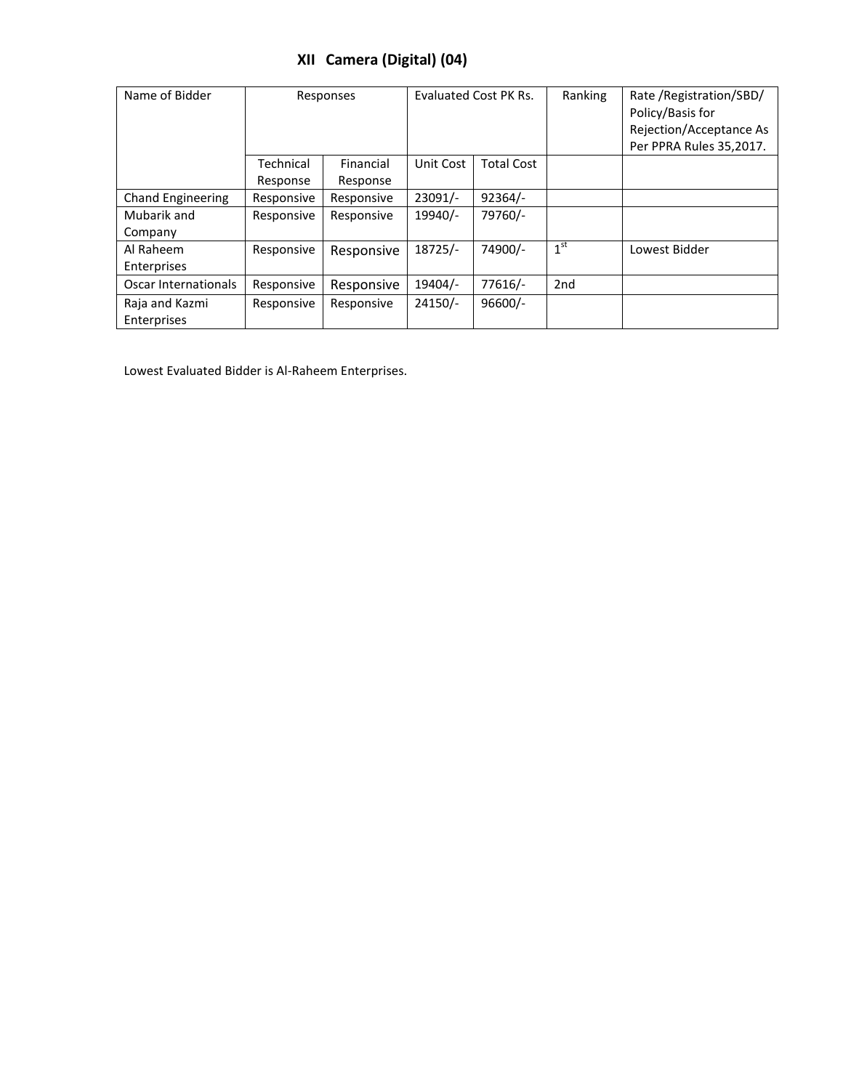## **XII Camera (Digital) (04)**

| Name of Bidder                | Responses             |                       | Evaluated Cost PK Rs. |                   | Ranking         | Rate / Registration / SBD /<br>Policy/Basis for<br>Rejection/Acceptance As<br>Per PPRA Rules 35,2017. |
|-------------------------------|-----------------------|-----------------------|-----------------------|-------------------|-----------------|-------------------------------------------------------------------------------------------------------|
|                               | Technical<br>Response | Financial<br>Response | Unit Cost             | <b>Total Cost</b> |                 |                                                                                                       |
| <b>Chand Engineering</b>      | Responsive            | Responsive            | $23091/-$             | $92364/-$         |                 |                                                                                                       |
| Mubarik and<br>Company        | Responsive            | Responsive            | 19940/-               | 79760/-           |                 |                                                                                                       |
| Al Raheem<br>Enterprises      | Responsive            | Responsive            | 18725/-               | 74900/-           | 1 <sup>st</sup> | Lowest Bidder                                                                                         |
| Oscar Internationals          | Responsive            | Responsive            | 19404/-               | 77616/-           | 2 <sub>nd</sub> |                                                                                                       |
| Raja and Kazmi<br>Enterprises | Responsive            | Responsive            | $24150/-$             | $96600/-$         |                 |                                                                                                       |

Lowest Evaluated Bidder is Al-Raheem Enterprises.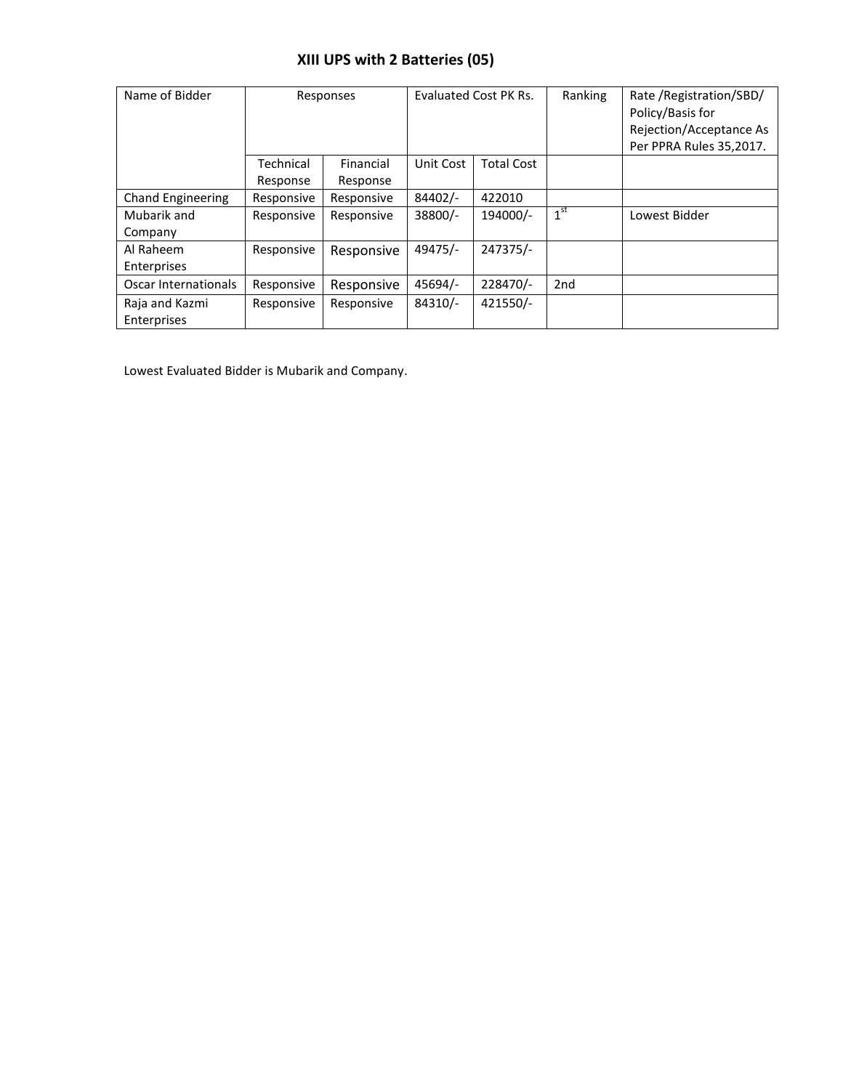## **XIII UPS with 2 Batteries (05)**

| Name of Bidder                | Responses             |                       | Evaluated Cost PK Rs. |                   | Ranking         | Rate / Registration / SBD /<br>Policy/Basis for<br>Rejection/Acceptance As<br>Per PPRA Rules 35,2017. |
|-------------------------------|-----------------------|-----------------------|-----------------------|-------------------|-----------------|-------------------------------------------------------------------------------------------------------|
|                               | Technical<br>Response | Financial<br>Response | Unit Cost             | <b>Total Cost</b> |                 |                                                                                                       |
| <b>Chand Engineering</b>      | Responsive            | Responsive            | 84402/-               | 422010            |                 |                                                                                                       |
| Mubarik and<br>Company        | Responsive            | Responsive            | 38800/-               | 194000/-          | 1 <sup>st</sup> | Lowest Bidder                                                                                         |
| Al Raheem<br>Enterprises      | Responsive            | Responsive            | 49475/-               | 247375/-          |                 |                                                                                                       |
| Oscar Internationals          | Responsive            | Responsive            | 45694/-               | 228470/-          | 2 <sub>nd</sub> |                                                                                                       |
| Raja and Kazmi<br>Enterprises | Responsive            | Responsive            | 84310/-               | 421550/-          |                 |                                                                                                       |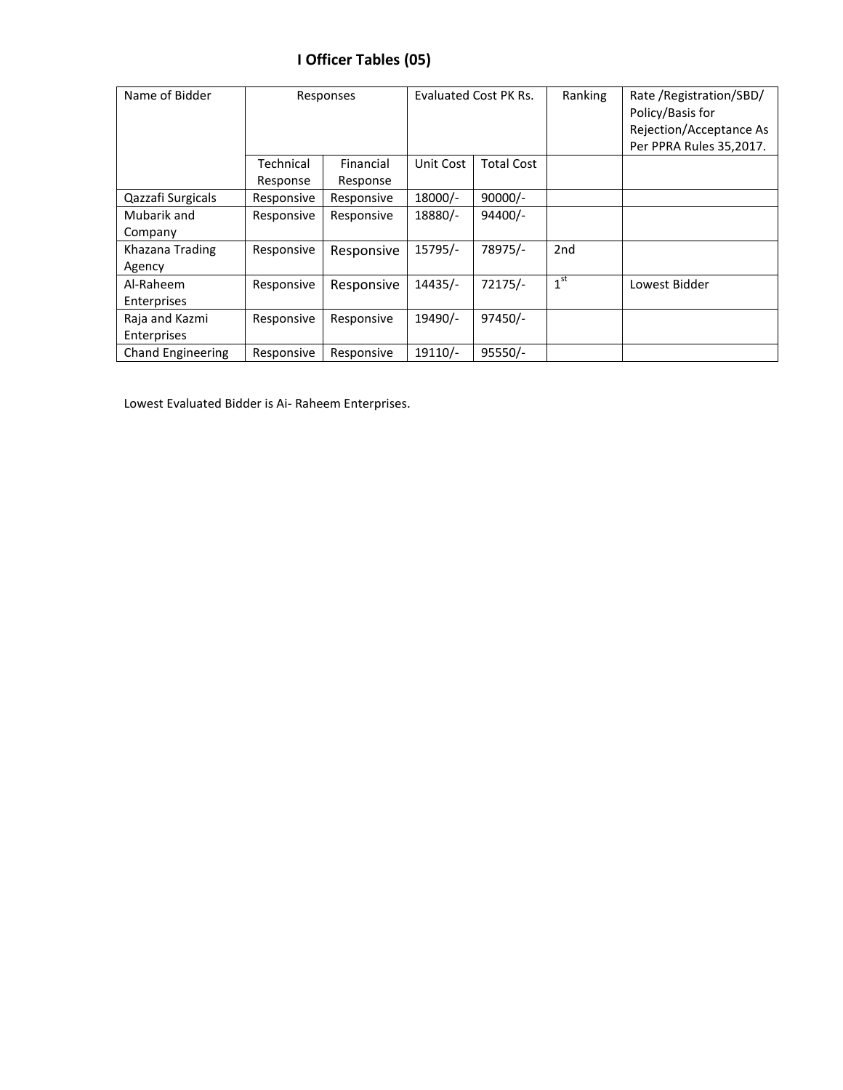# **I Officer Tables (05)**

| Name of Bidder           | Responses             |                       |           | Evaluated Cost PK Rs. |                 | Rate / Registration/SBD/<br>Policy/Basis for<br>Rejection/Acceptance As<br>Per PPRA Rules 35,2017. |
|--------------------------|-----------------------|-----------------------|-----------|-----------------------|-----------------|----------------------------------------------------------------------------------------------------|
|                          | Technical<br>Response | Financial<br>Response | Unit Cost | <b>Total Cost</b>     |                 |                                                                                                    |
| Qazzafi Surgicals        | Responsive            | Responsive            | 18000/-   | $90000/-$             |                 |                                                                                                    |
| Mubarik and              | Responsive            | Responsive            | 18880/-   | $94400/-$             |                 |                                                                                                    |
| Company                  |                       |                       |           |                       |                 |                                                                                                    |
| Khazana Trading          | Responsive            | Responsive            | 15795/-   | 78975/-               | 2 <sub>nd</sub> |                                                                                                    |
| Agency                   |                       |                       |           |                       |                 |                                                                                                    |
| Al-Raheem                | Responsive            | Responsive            | 14435/-   | 72175/-               | 1 <sup>st</sup> | Lowest Bidder                                                                                      |
| Enterprises              |                       |                       |           |                       |                 |                                                                                                    |
| Raja and Kazmi           | Responsive            | Responsive            | 19490/-   | 97450/-               |                 |                                                                                                    |
| Enterprises              |                       |                       |           |                       |                 |                                                                                                    |
| <b>Chand Engineering</b> | Responsive            | Responsive            | 19110/-   | $95550/-$             |                 |                                                                                                    |

Lowest Evaluated Bidder is Ai- Raheem Enterprises.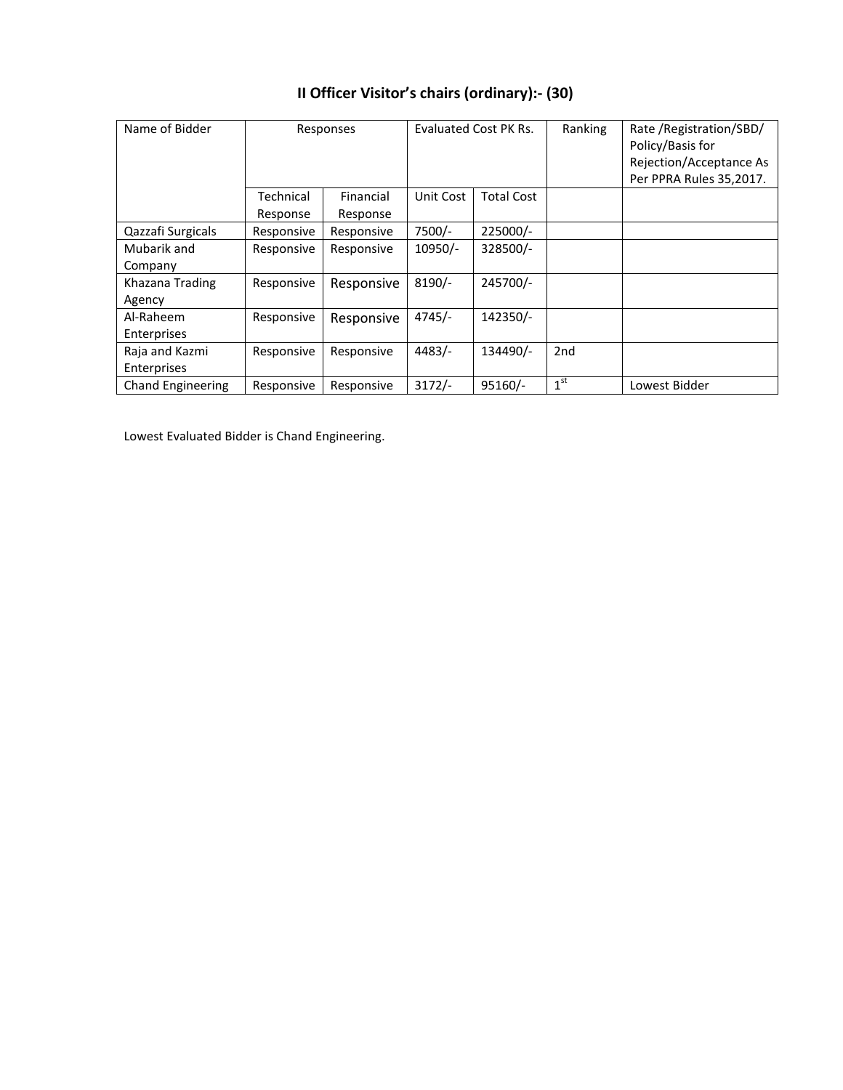| Name of Bidder           | Responses             |                       | Evaluated Cost PK Rs. |                   | Ranking         | Rate / Registration/SBD/<br>Policy/Basis for<br>Rejection/Acceptance As<br>Per PPRA Rules 35,2017. |
|--------------------------|-----------------------|-----------------------|-----------------------|-------------------|-----------------|----------------------------------------------------------------------------------------------------|
|                          | Technical<br>Response | Financial<br>Response | Unit Cost             | <b>Total Cost</b> |                 |                                                                                                    |
| Qazzafi Surgicals        | Responsive            | Responsive            | 7500/-                | $225000/-$        |                 |                                                                                                    |
| Mubarik and              | Responsive            | Responsive            | $10950/-$             | 328500/-          |                 |                                                                                                    |
| Company                  |                       |                       |                       |                   |                 |                                                                                                    |
| Khazana Trading          | Responsive            | Responsive            | $8190/-$              | 245700/-          |                 |                                                                                                    |
| Agency                   |                       |                       |                       |                   |                 |                                                                                                    |
| Al-Raheem                | Responsive            | Responsive            | $4745/-$              | 142350/-          |                 |                                                                                                    |
| Enterprises              |                       |                       |                       |                   |                 |                                                                                                    |
| Raja and Kazmi           | Responsive            | Responsive            | $4483/-$              | 134490/-          | 2 <sub>nd</sub> |                                                                                                    |
| Enterprises              |                       |                       |                       |                   |                 |                                                                                                    |
| <b>Chand Engineering</b> | Responsive            | Responsive            | $3172/-$              | $95160/-$         | 1 <sup>st</sup> | Lowest Bidder                                                                                      |

# **II Officer Visitor's chairs (ordinary):- (30)**

Lowest Evaluated Bidder is Chand Engineering.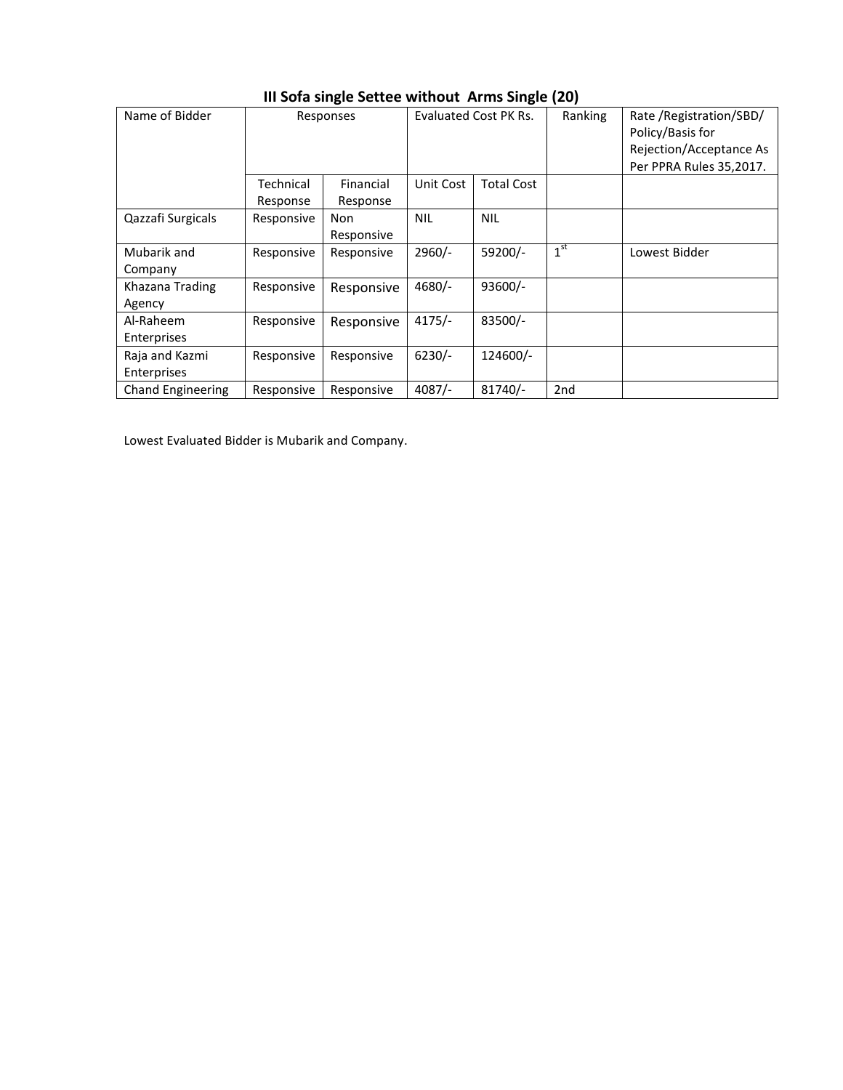| Name of Bidder           | Responses  |            |            | Evaluated Cost PK Rs. | Ranking         | Rate / Registration/SBD/ |
|--------------------------|------------|------------|------------|-----------------------|-----------------|--------------------------|
|                          |            |            |            |                       |                 | Policy/Basis for         |
|                          |            |            |            |                       |                 | Rejection/Acceptance As  |
|                          |            |            |            |                       |                 | Per PPRA Rules 35,2017.  |
|                          | Technical  | Financial  | Unit Cost  | Total Cost            |                 |                          |
|                          | Response   | Response   |            |                       |                 |                          |
| Qazzafi Surgicals        | Responsive | Non        | <b>NIL</b> | <b>NIL</b>            |                 |                          |
|                          |            | Responsive |            |                       |                 |                          |
| Mubarik and              | Responsive | Responsive | 2960/-     | 59200/-               | 1 <sup>st</sup> | Lowest Bidder            |
| Company                  |            |            |            |                       |                 |                          |
| Khazana Trading          | Responsive | Responsive | 4680/-     | 93600/-               |                 |                          |
| Agency                   |            |            |            |                       |                 |                          |
| Al-Raheem                | Responsive | Responsive | $4175/-$   | 83500/-               |                 |                          |
| Enterprises              |            |            |            |                       |                 |                          |
| Raja and Kazmi           | Responsive | Responsive | $6230/-$   | 124600/-              |                 |                          |
| Enterprises              |            |            |            |                       |                 |                          |
| <b>Chand Engineering</b> | Responsive | Responsive | $4087/-$   | 81740/-               | 2 <sub>nd</sub> |                          |

### **III Sofa single Settee without Arms Single (20)**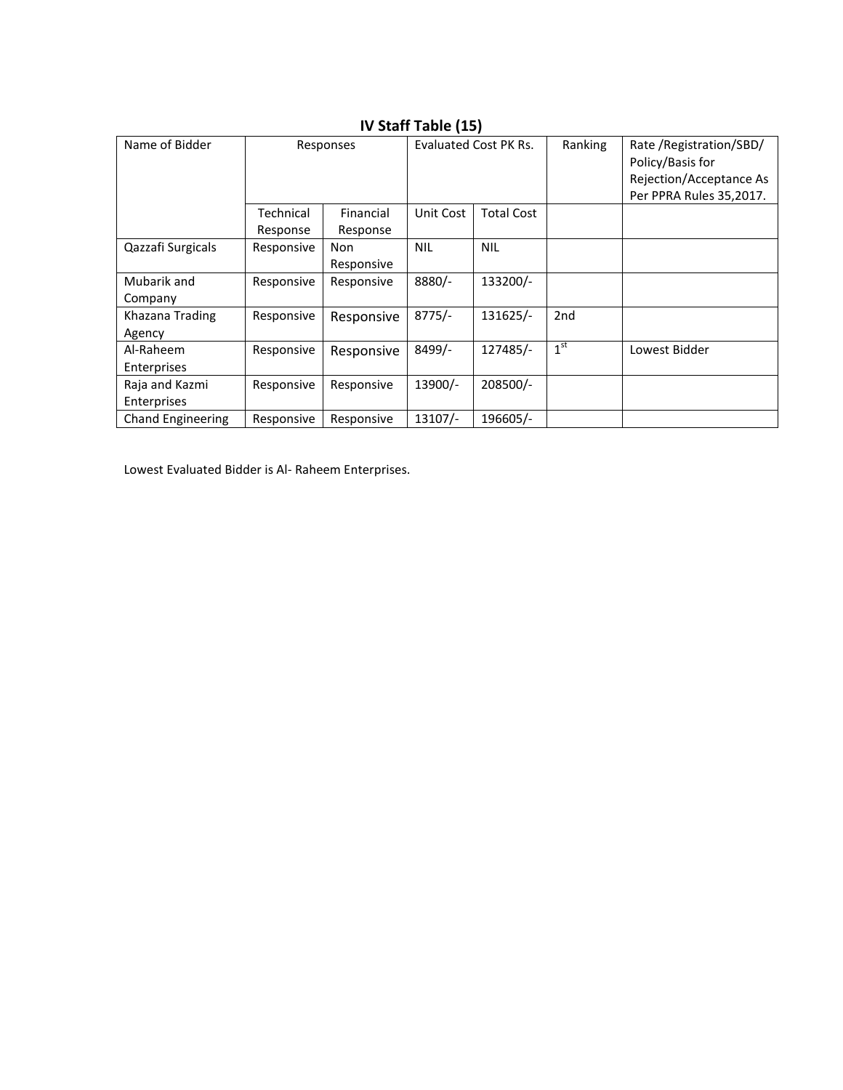| Name of Bidder           |            | Responses  |            | Evaluated Cost PK Rs. | Ranking         | Rate / Registration/SBD/ |
|--------------------------|------------|------------|------------|-----------------------|-----------------|--------------------------|
|                          |            |            |            |                       |                 | Policy/Basis for         |
|                          |            |            |            |                       |                 | Rejection/Acceptance As  |
|                          |            |            |            |                       |                 | Per PPRA Rules 35,2017.  |
|                          | Technical  | Financial  | Unit Cost  | <b>Total Cost</b>     |                 |                          |
|                          | Response   | Response   |            |                       |                 |                          |
| Qazzafi Surgicals        | Responsive | Non        | <b>NIL</b> | <b>NIL</b>            |                 |                          |
|                          |            | Responsive |            |                       |                 |                          |
| Mubarik and              | Responsive | Responsive | 8880/-     | 133200/-              |                 |                          |
| Company                  |            |            |            |                       |                 |                          |
| Khazana Trading          | Responsive | Responsive | $8775/-$   | $131625/-$            | 2 <sub>nd</sub> |                          |
| Agency                   |            |            |            |                       |                 |                          |
| Al-Raheem                | Responsive | Responsive | 8499/-     | 127485/-              | 1 <sup>st</sup> | Lowest Bidder            |
| Enterprises              |            |            |            |                       |                 |                          |
| Raja and Kazmi           | Responsive | Responsive | 13900/-    | 208500/-              |                 |                          |
| Enterprises              |            |            |            |                       |                 |                          |
| <b>Chand Engineering</b> | Responsive | Responsive | 13107/-    | 196605/-              |                 |                          |

#### **IV Staff Table (15)**

Lowest Evaluated Bidder is Al- Raheem Enterprises.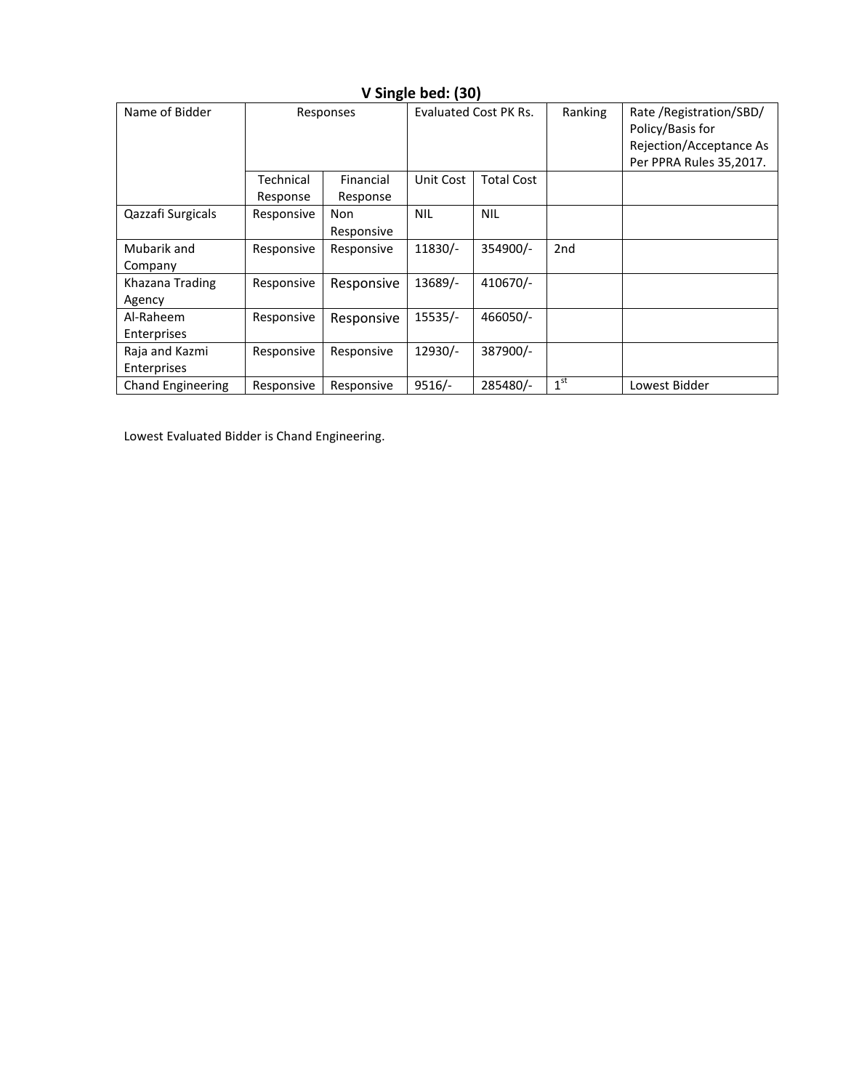| Name of Bidder           |            | Responses         |            | Evaluated Cost PK Rs. |                 | Rate / Registration/SBD/<br>Policy/Basis for<br>Rejection/Acceptance As<br>Per PPRA Rules 35,2017. |
|--------------------------|------------|-------------------|------------|-----------------------|-----------------|----------------------------------------------------------------------------------------------------|
|                          | Technical  | Financial         | Unit Cost  | <b>Total Cost</b>     |                 |                                                                                                    |
|                          | Response   | Response          |            |                       |                 |                                                                                                    |
| Qazzafi Surgicals        | Responsive | Non<br>Responsive | <b>NIL</b> | <b>NIL</b>            |                 |                                                                                                    |
| Mubarik and              | Responsive | Responsive        | 11830/-    | 354900/-              | 2nd             |                                                                                                    |
| Company                  |            |                   |            |                       |                 |                                                                                                    |
| Khazana Trading          | Responsive | Responsive        | 13689/-    | 410670/-              |                 |                                                                                                    |
| Agency                   |            |                   |            |                       |                 |                                                                                                    |
| Al-Raheem                | Responsive | Responsive        | 15535/-    | 466050/-              |                 |                                                                                                    |
| Enterprises              |            |                   |            |                       |                 |                                                                                                    |
| Raja and Kazmi           | Responsive | Responsive        | 12930/-    | 387900/-              |                 |                                                                                                    |
| Enterprises              |            |                   |            |                       |                 |                                                                                                    |
| <b>Chand Engineering</b> | Responsive | Responsive        | $9516/-$   | 285480/-              | 1 <sup>st</sup> | Lowest Bidder                                                                                      |

### **V Single bed: (30)**

Lowest Evaluated Bidder is Chand Engineering.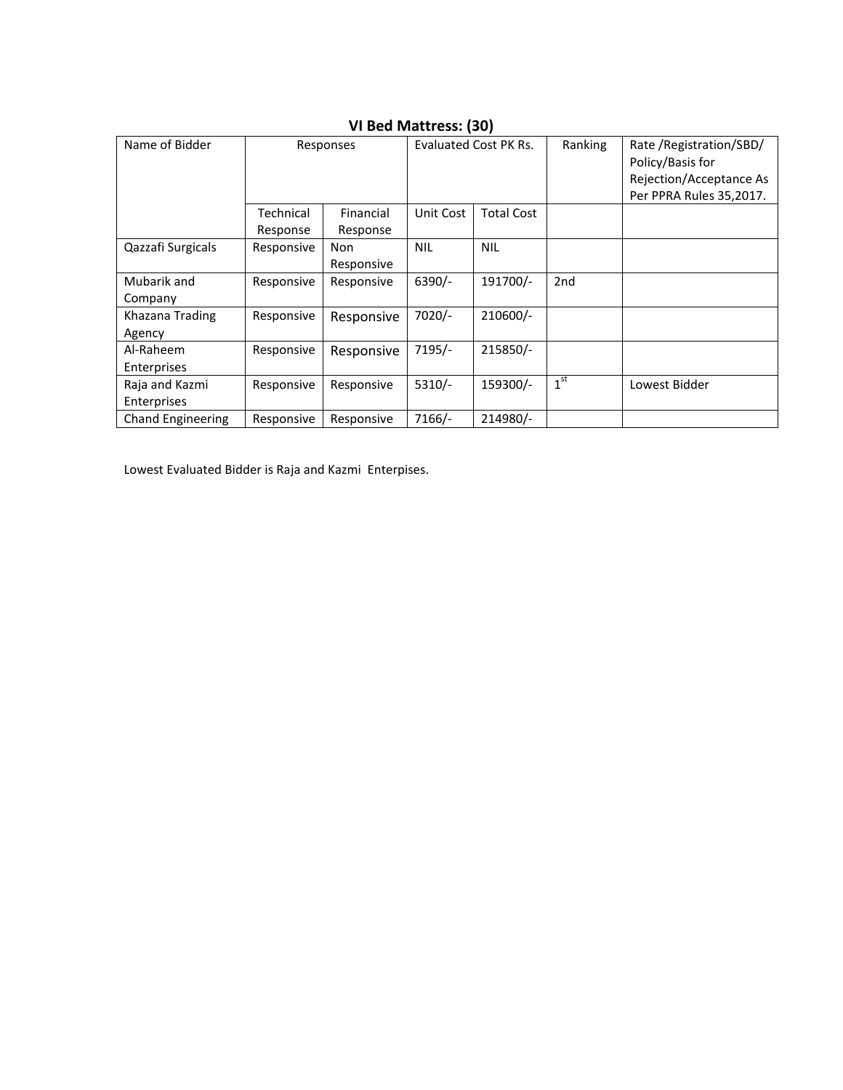| Name of Bidder           |            |            | Evaluated Cost PK Rs. |                   | Ranking         | Rate / Registration/SBD/ |
|--------------------------|------------|------------|-----------------------|-------------------|-----------------|--------------------------|
|                          | Responses  |            |                       |                   |                 |                          |
|                          |            |            |                       |                   |                 | Policy/Basis for         |
|                          |            |            |                       |                   |                 | Rejection/Acceptance As  |
|                          |            |            |                       |                   |                 | Per PPRA Rules 35,2017.  |
|                          | Technical  | Financial  | Unit Cost             | <b>Total Cost</b> |                 |                          |
|                          | Response   | Response   |                       |                   |                 |                          |
| Qazzafi Surgicals        | Responsive | Non        | <b>NIL</b>            | <b>NIL</b>        |                 |                          |
|                          |            | Responsive |                       |                   |                 |                          |
| Mubarik and              | Responsive | Responsive | $6390/-$              | 191700/-          | 2 <sub>nd</sub> |                          |
| Company                  |            |            |                       |                   |                 |                          |
| Khazana Trading          | Responsive | Responsive | $7020/-$              | 210600/-          |                 |                          |
| Agency                   |            |            |                       |                   |                 |                          |
| Al-Raheem                | Responsive | Responsive | $7195/-$              | 215850/-          |                 |                          |
| Enterprises              |            |            |                       |                   |                 |                          |
| Raja and Kazmi           | Responsive | Responsive | $5310/-$              | 159300/-          | 1 <sup>st</sup> | Lowest Bidder            |
| Enterprises              |            |            |                       |                   |                 |                          |
| <b>Chand Engineering</b> | Responsive | Responsive | 7166/-                | 214980/-          |                 |                          |

### **VI Bed Mattress: (30)**

Lowest Evaluated Bidder is Raja and Kazmi Enterpises.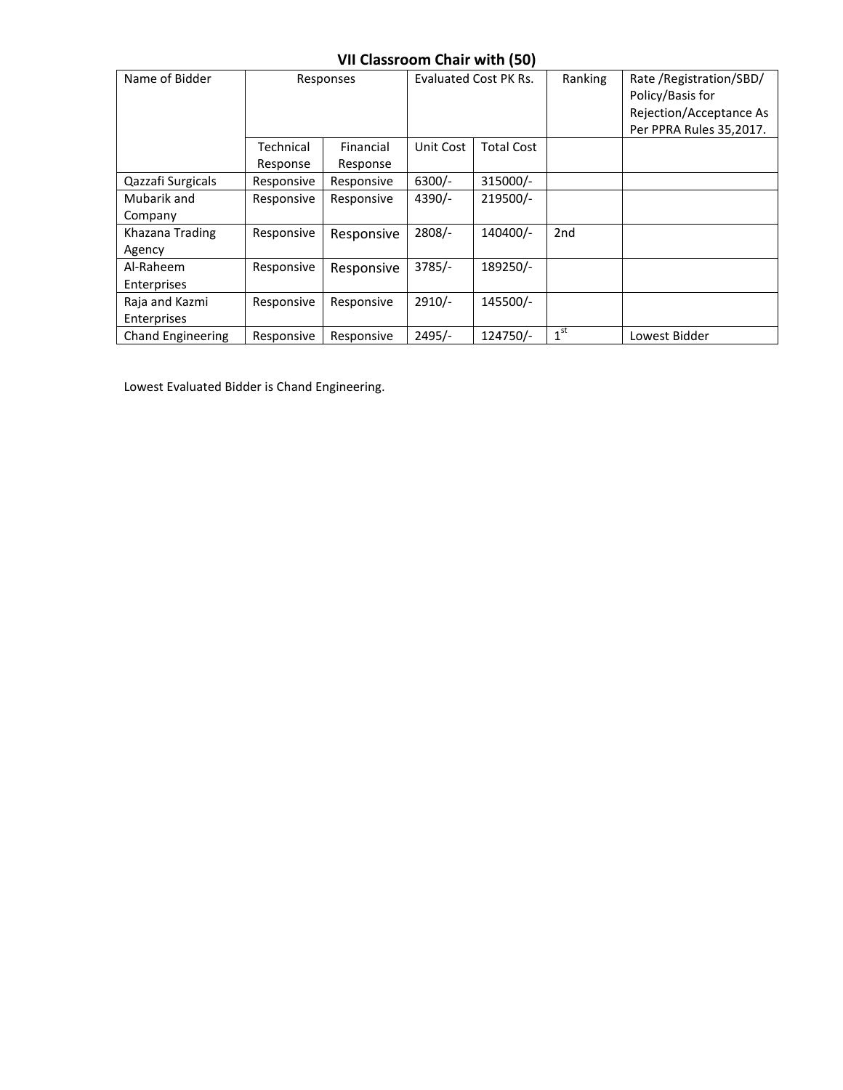## **VII Classroom Chair with (50)**

| Name of Bidder                | Responses             |                       | Evaluated Cost PK Rs. |                   | Ranking         | Rate / Registration/SBD/<br>Policy/Basis for<br>Rejection/Acceptance As<br>Per PPRA Rules 35,2017. |
|-------------------------------|-----------------------|-----------------------|-----------------------|-------------------|-----------------|----------------------------------------------------------------------------------------------------|
|                               | Technical<br>Response | Financial<br>Response | Unit Cost             | <b>Total Cost</b> |                 |                                                                                                    |
| Qazzafi Surgicals             | Responsive            | Responsive            | $6300/-$              | 315000/-          |                 |                                                                                                    |
| Mubarik and<br>Company        | Responsive            | Responsive            | $4390/-$              | 219500/-          |                 |                                                                                                    |
| Khazana Trading<br>Agency     | Responsive            | Responsive            | $2808/-$              | 140400/-          | 2nd             |                                                                                                    |
| Al-Raheem<br>Enterprises      | Responsive            | Responsive            | $3785/-$              | 189250/-          |                 |                                                                                                    |
| Raja and Kazmi<br>Enterprises | Responsive            | Responsive            | $2910/-$              | 145500/-          |                 |                                                                                                    |
| <b>Chand Engineering</b>      | Responsive            | Responsive            | $2495/-$              | 124750/-          | 1 <sup>st</sup> | Lowest Bidder                                                                                      |

Lowest Evaluated Bidder is Chand Engineering.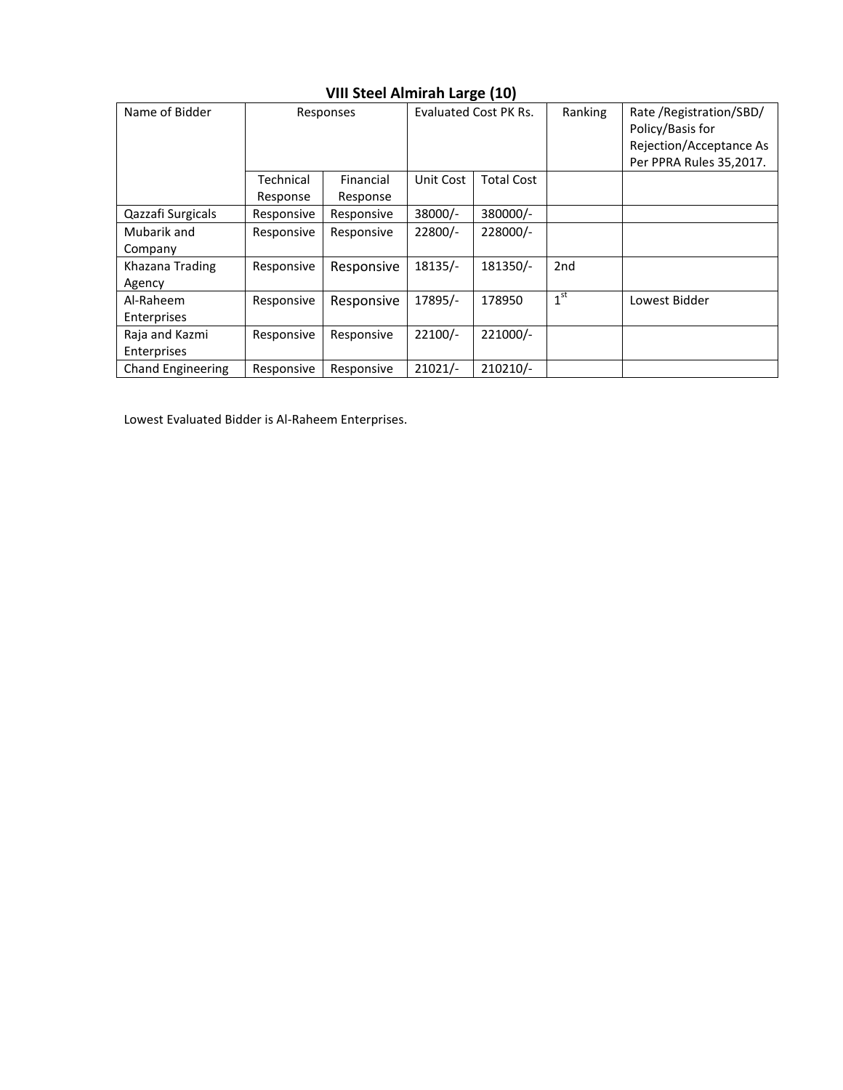| Name of Bidder           | Responses  |            | <b>Evaluated Cost PK Rs.</b> |                   | Ranking         | Rate / Registration/SBD/<br>Policy/Basis for<br>Rejection/Acceptance As<br>Per PPRA Rules 35,2017. |
|--------------------------|------------|------------|------------------------------|-------------------|-----------------|----------------------------------------------------------------------------------------------------|
|                          | Technical  | Financial  | Unit Cost                    | <b>Total Cost</b> |                 |                                                                                                    |
|                          | Response   | Response   |                              |                   |                 |                                                                                                    |
| Qazzafi Surgicals        | Responsive | Responsive | $38000/-$                    | 380000/-          |                 |                                                                                                    |
| Mubarik and              | Responsive | Responsive | 22800/-                      | 228000/-          |                 |                                                                                                    |
| Company                  |            |            |                              |                   |                 |                                                                                                    |
| Khazana Trading          | Responsive | Responsive | 18135/-                      | 181350/-          | 2 <sub>nd</sub> |                                                                                                    |
| Agency                   |            |            |                              |                   |                 |                                                                                                    |
| Al-Raheem                | Responsive | Responsive | 17895/-                      | 178950            | 1 <sup>st</sup> | Lowest Bidder                                                                                      |
| Enterprises              |            |            |                              |                   |                 |                                                                                                    |
| Raja and Kazmi           | Responsive | Responsive | $22100/-$                    | 221000/-          |                 |                                                                                                    |
| Enterprises              |            |            |                              |                   |                 |                                                                                                    |
| <b>Chand Engineering</b> | Responsive | Responsive | $21021/-$                    | 210210/-          |                 |                                                                                                    |

## **VIII Steel Almirah Large (10)**

Lowest Evaluated Bidder is Al-Raheem Enterprises.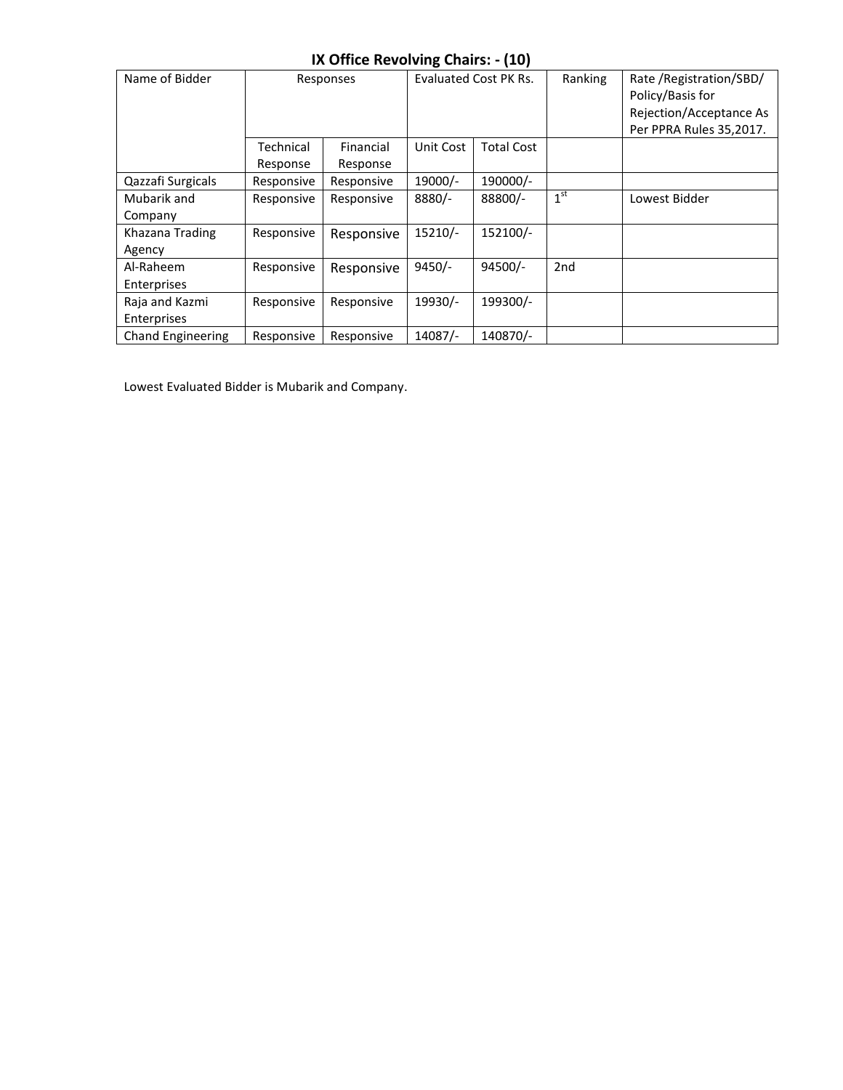#### **IX Office Revolving Chairs: - (10)**

| Name of Bidder    | Responses  |            | Evaluated Cost PK Rs. |                   | Ranking         | Rate / Registration/SBD/<br>Policy/Basis for<br>Rejection/Acceptance As<br>Per PPRA Rules 35,2017. |
|-------------------|------------|------------|-----------------------|-------------------|-----------------|----------------------------------------------------------------------------------------------------|
|                   | Technical  | Financial  | Unit Cost             | <b>Total Cost</b> |                 |                                                                                                    |
|                   | Response   | Response   |                       |                   |                 |                                                                                                    |
| Qazzafi Surgicals | Responsive | Responsive | 19000/-               | 190000/-          |                 |                                                                                                    |
| Mubarik and       | Responsive | Responsive | 8880/-                | 88800/-           | 1 <sup>st</sup> | Lowest Bidder                                                                                      |
| Company           |            |            |                       |                   |                 |                                                                                                    |
| Khazana Trading   | Responsive | Responsive | 15210/-               | 152100/-          |                 |                                                                                                    |
| Agency            |            |            |                       |                   |                 |                                                                                                    |
| Al-Raheem         | Responsive | Responsive | $9450/-$              | 94500/-           | 2nd             |                                                                                                    |
| Enterprises       |            |            |                       |                   |                 |                                                                                                    |
| Raja and Kazmi    | Responsive | Responsive | 19930/-               | 199300/-          |                 |                                                                                                    |
| Enterprises       |            |            |                       |                   |                 |                                                                                                    |
| Chand Engineering | Responsive | Responsive | 14087/-               | 140870/-          |                 |                                                                                                    |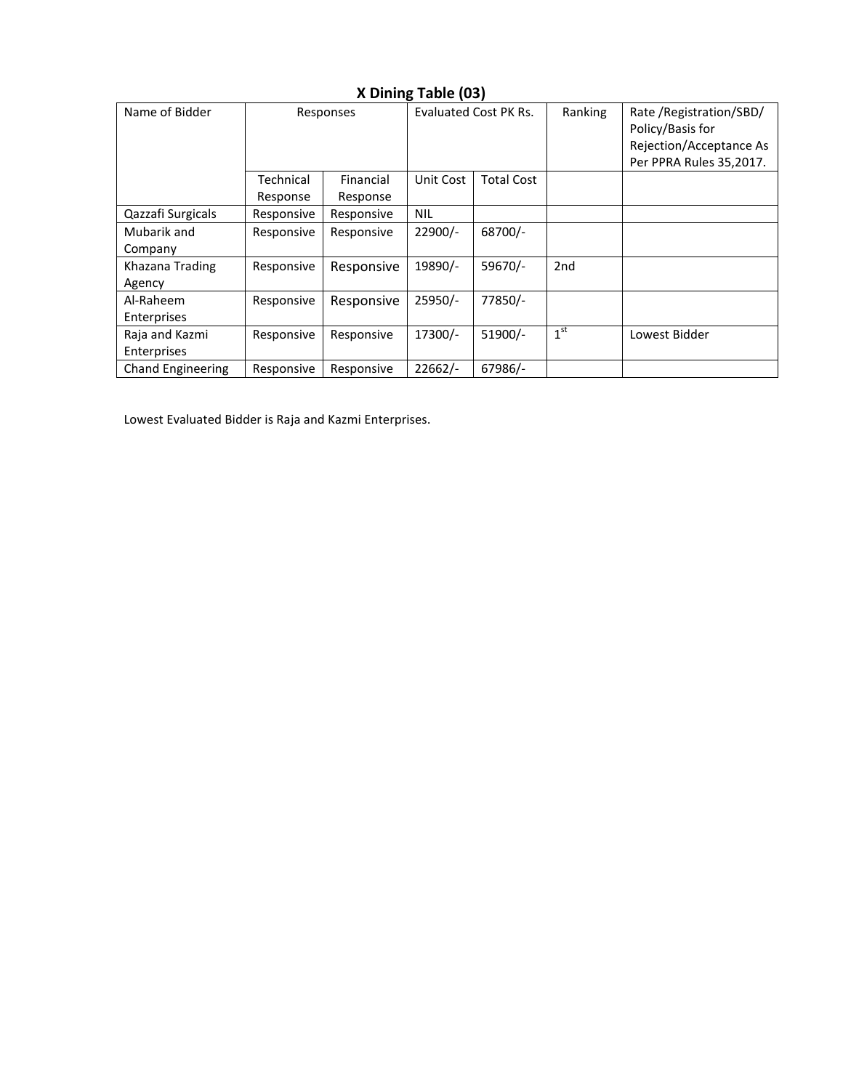| Name of Bidder           | Responses  |            | <b>Evaluated Cost PK Rs.</b> |                   | Ranking         | Rate / Registration/SBD/<br>Policy/Basis for<br>Rejection/Acceptance As<br>Per PPRA Rules 35,2017. |
|--------------------------|------------|------------|------------------------------|-------------------|-----------------|----------------------------------------------------------------------------------------------------|
|                          | Technical  | Financial  | Unit Cost                    | <b>Total Cost</b> |                 |                                                                                                    |
|                          | Response   | Response   |                              |                   |                 |                                                                                                    |
| Qazzafi Surgicals        | Responsive | Responsive | <b>NIL</b>                   |                   |                 |                                                                                                    |
| Mubarik and              | Responsive | Responsive | $22900/-$                    | 68700/-           |                 |                                                                                                    |
| Company                  |            |            |                              |                   |                 |                                                                                                    |
| Khazana Trading          | Responsive | Responsive | 19890/-                      | 59670/-           | 2 <sub>nd</sub> |                                                                                                    |
| Agency                   |            |            |                              |                   |                 |                                                                                                    |
| Al-Raheem                | Responsive | Responsive | 25950/-                      | 77850/-           |                 |                                                                                                    |
| Enterprises              |            |            |                              |                   |                 |                                                                                                    |
| Raja and Kazmi           | Responsive | Responsive | 17300/-                      | 51900/-           | 1 <sup>st</sup> | Lowest Bidder                                                                                      |
| Enterprises              |            |            |                              |                   |                 |                                                                                                    |
| <b>Chand Engineering</b> | Responsive | Responsive | $22662/-$                    | 67986/-           |                 |                                                                                                    |

## **X Dining Table (03)**

Lowest Evaluated Bidder is Raja and Kazmi Enterprises.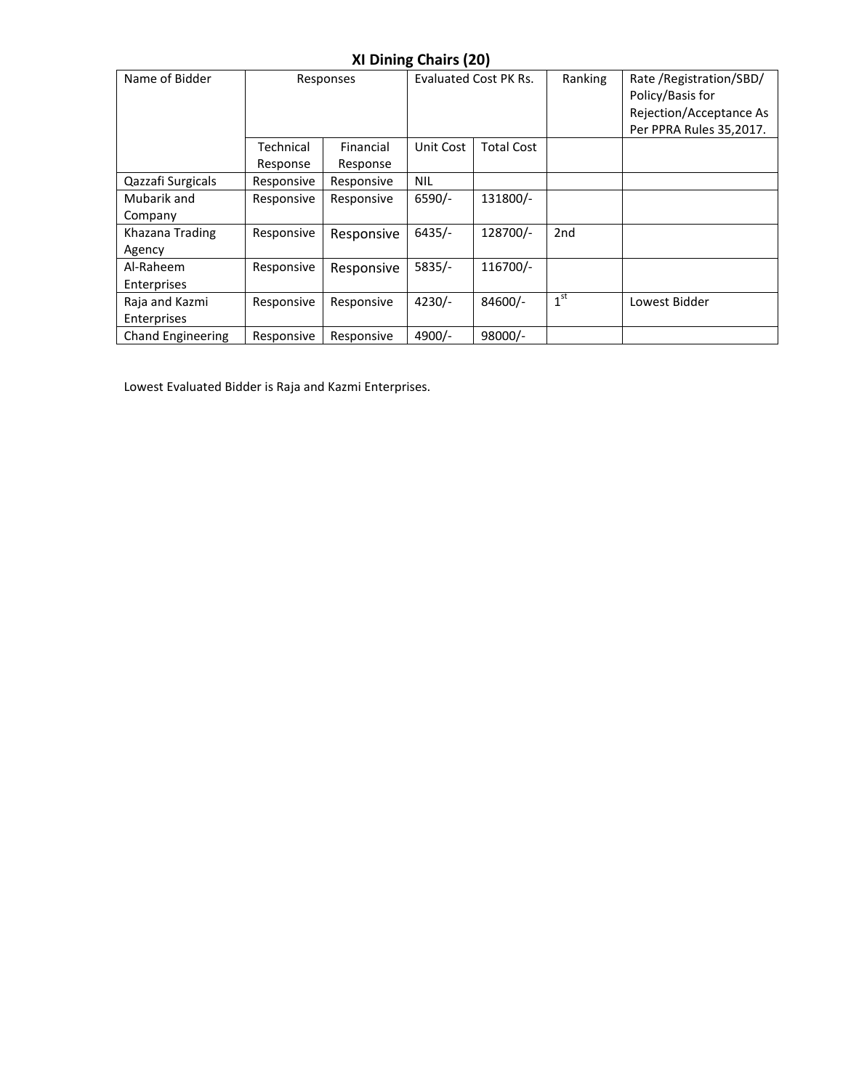## **XI Dining Chairs (20)**

| Name of Bidder                | Responses             |                       | <b>Evaluated Cost PK Rs.</b> |                   | Ranking         | Rate / Registration/SBD/<br>Policy/Basis for<br>Rejection/Acceptance As<br>Per PPRA Rules 35,2017. |
|-------------------------------|-----------------------|-----------------------|------------------------------|-------------------|-----------------|----------------------------------------------------------------------------------------------------|
|                               | Technical<br>Response | Financial<br>Response | Unit Cost                    | <b>Total Cost</b> |                 |                                                                                                    |
| Qazzafi Surgicals             | Responsive            | Responsive            | <b>NIL</b>                   |                   |                 |                                                                                                    |
| Mubarik and<br>Company        | Responsive            | Responsive            | $6590/-$                     | 131800/-          |                 |                                                                                                    |
| Khazana Trading<br>Agency     | Responsive            | Responsive            | $6435/-$                     | 128700/-          | 2 <sub>nd</sub> |                                                                                                    |
| Al-Raheem<br>Enterprises      | Responsive            | Responsive            | $5835/-$                     | 116700/-          |                 |                                                                                                    |
| Raja and Kazmi<br>Enterprises | Responsive            | Responsive            | $4230/-$                     | 84600/-           | 1 <sup>st</sup> | Lowest Bidder                                                                                      |
| <b>Chand Engineering</b>      | Responsive            | Responsive            | 4900/-                       | 98000/-           |                 |                                                                                                    |

Lowest Evaluated Bidder is Raja and Kazmi Enterprises.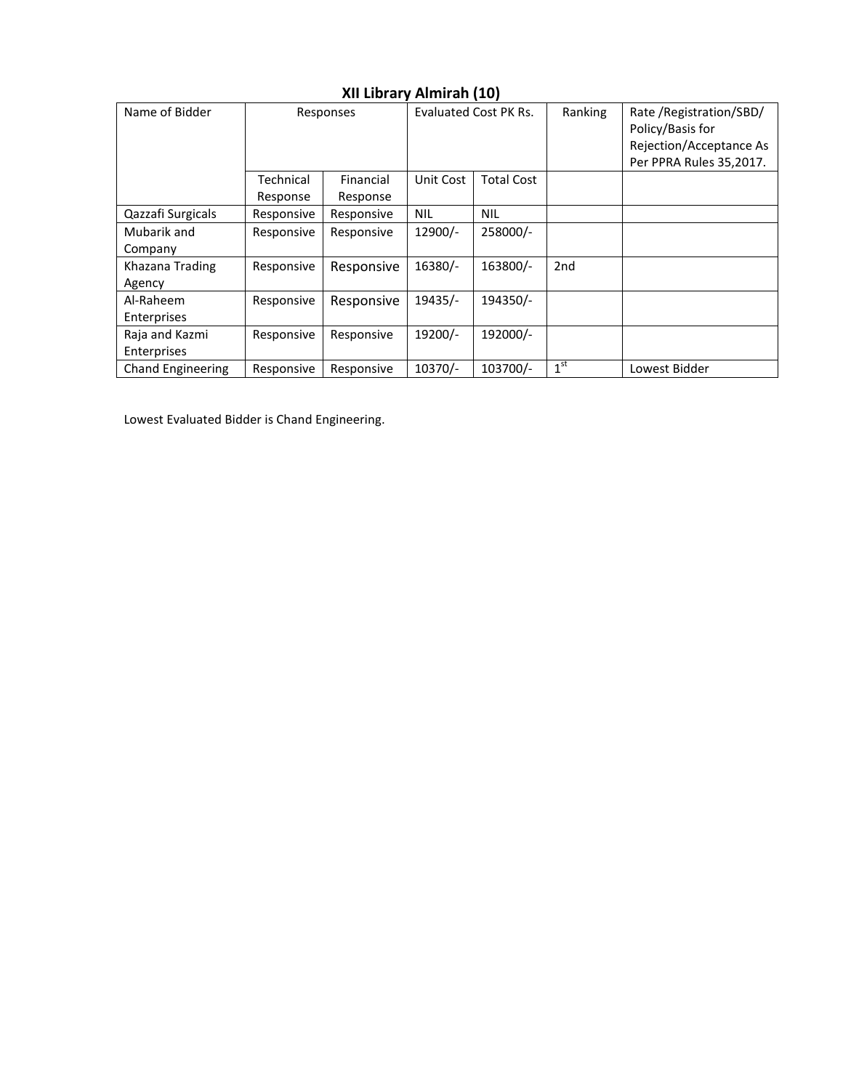| Name of Bidder           | Responses             |                       | Evaluated Cost PK Rs. |                   | Ranking         | Rate / Registration/SBD/<br>Policy/Basis for<br>Rejection/Acceptance As<br>Per PPRA Rules 35,2017. |
|--------------------------|-----------------------|-----------------------|-----------------------|-------------------|-----------------|----------------------------------------------------------------------------------------------------|
|                          | Technical<br>Response | Financial<br>Response | Unit Cost             | <b>Total Cost</b> |                 |                                                                                                    |
|                          |                       |                       |                       |                   |                 |                                                                                                    |
| Qazzafi Surgicals        | Responsive            | Responsive            | <b>NIL</b>            | <b>NIL</b>        |                 |                                                                                                    |
| Mubarik and              | Responsive            | Responsive            | $12900/-$             | 258000/-          |                 |                                                                                                    |
| Company                  |                       |                       |                       |                   |                 |                                                                                                    |
| Khazana Trading          | Responsive            | Responsive            | 16380/-               | 163800/-          | 2 <sub>nd</sub> |                                                                                                    |
| Agency                   |                       |                       |                       |                   |                 |                                                                                                    |
| Al-Raheem                | Responsive            | Responsive            | 19435/-               | 194350/-          |                 |                                                                                                    |
| Enterprises              |                       |                       |                       |                   |                 |                                                                                                    |
| Raja and Kazmi           | Responsive            | Responsive            | 19200/-               | 192000/-          |                 |                                                                                                    |
| Enterprises              |                       |                       |                       |                   |                 |                                                                                                    |
| <b>Chand Engineering</b> | Responsive            | Responsive            | 10370/-               | 103700/-          | 1 <sup>st</sup> | Lowest Bidder                                                                                      |

#### **XII Library Almirah (10)**

Lowest Evaluated Bidder is Chand Engineering.